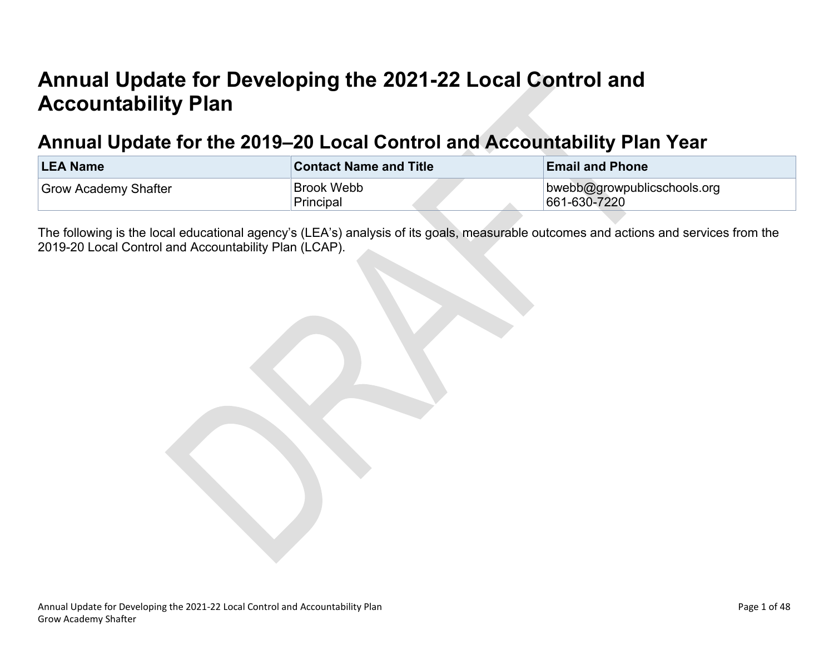# **Annual Update for Developing the 2021-22 Local Control and Accountability Plan**

### **Annual Update for the 2019–20 Local Control and [Accountability](http://www.doc-tracking.com/screenshots/21LCAP/Instructions/LCAPandLCPAnnualUpdateInstructions.htm#AnnualUpdate) Plan Year**

| <b>LEA Name</b>             | <b>Contact Name and Title</b>  | <b>Email and Phone</b>                      |
|-----------------------------|--------------------------------|---------------------------------------------|
| <b>Grow Academy Shafter</b> | <b>Brook Webb</b><br>Principal | bwebb@growpublicschools.org<br>661-630-7220 |

The following is the local educational agency's (LEA's) analysis of its goals, measurable outcomes and actions and services from the 2019-20 Local Control and Accountability Plan (LCAP).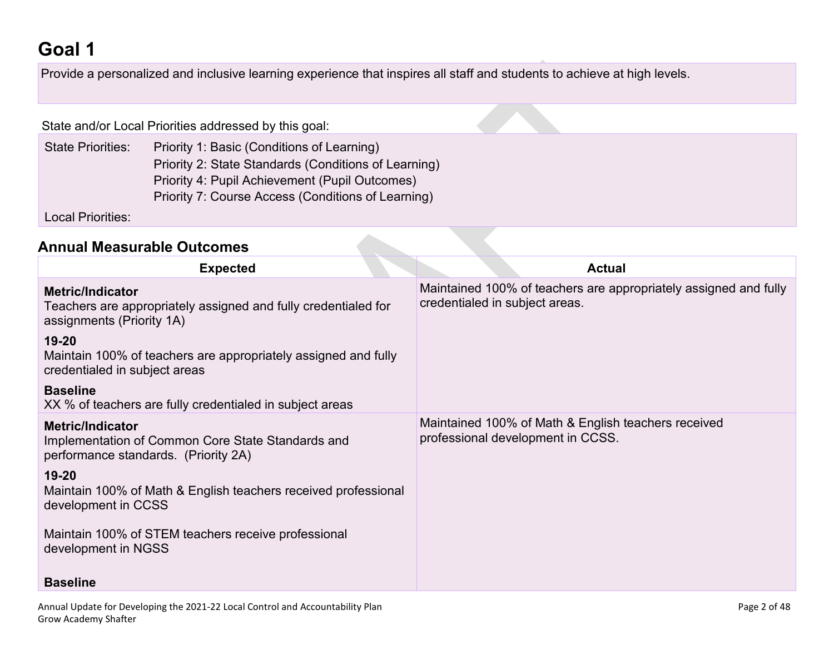# **[Goal](http://www.doc-tracking.com/screenshots/21LCAP/Instructions/LCAPandLCPAnnualUpdateInstructions.htm#AnnualUpdate) 1**

Provide a personalized and inclusive learning experience that inspires all staff and students to achieve at high levels.

#### State and/or Local Priorities addressed by this goal:

State Priorities: Priority 1: Basic (Conditions of Learning) Priority 2: State Standards (Conditions of Learning) Priority 4: Pupil Achievement (Pupil Outcomes) Priority 7: Course Access (Conditions of Learning)

Local Priorities:

#### **Annual [Measurable](http://www.doc-tracking.com/screenshots/21LCAP/Instructions/LCAPandLCPAnnualUpdateInstructions.htm#AMOs) Outcomes**

| <b>Expected</b>                                                                                                        | <b>Actual</b>                                                                                      |
|------------------------------------------------------------------------------------------------------------------------|----------------------------------------------------------------------------------------------------|
| <b>Metric/Indicator</b><br>Teachers are appropriately assigned and fully credentialed for<br>assignments (Priority 1A) | Maintained 100% of teachers are appropriately assigned and fully<br>credentialed in subject areas. |
| $19 - 20$<br>Maintain 100% of teachers are appropriately assigned and fully<br>credentialed in subject areas           |                                                                                                    |
| <b>Baseline</b><br>XX % of teachers are fully credentialed in subject areas                                            |                                                                                                    |
| <b>Metric/Indicator</b><br>Implementation of Common Core State Standards and<br>performance standards. (Priority 2A)   | Maintained 100% of Math & English teachers received<br>professional development in CCSS.           |
| $19 - 20$<br>Maintain 100% of Math & English teachers received professional<br>development in CCSS                     |                                                                                                    |
| Maintain 100% of STEM teachers receive professional<br>development in NGSS                                             |                                                                                                    |
| <b>Baseline</b>                                                                                                        |                                                                                                    |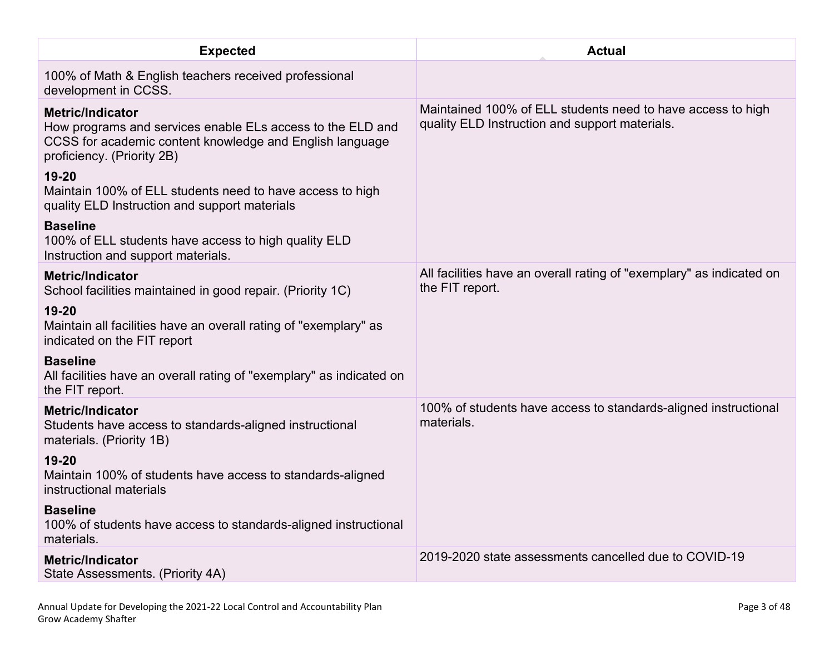| <b>Expected</b>                                                                                                                                                                 | <b>Actual</b>                                                                                                 |
|---------------------------------------------------------------------------------------------------------------------------------------------------------------------------------|---------------------------------------------------------------------------------------------------------------|
| 100% of Math & English teachers received professional<br>development in CCSS.                                                                                                   |                                                                                                               |
| <b>Metric/Indicator</b><br>How programs and services enable ELs access to the ELD and<br>CCSS for academic content knowledge and English language<br>proficiency. (Priority 2B) | Maintained 100% of ELL students need to have access to high<br>quality ELD Instruction and support materials. |
| 19-20<br>Maintain 100% of ELL students need to have access to high<br>quality ELD Instruction and support materials                                                             |                                                                                                               |
| <b>Baseline</b><br>100% of ELL students have access to high quality ELD<br>Instruction and support materials.                                                                   |                                                                                                               |
| <b>Metric/Indicator</b><br>School facilities maintained in good repair. (Priority 1C)                                                                                           | All facilities have an overall rating of "exemplary" as indicated on<br>the FIT report.                       |
| 19-20<br>Maintain all facilities have an overall rating of "exemplary" as<br>indicated on the FIT report                                                                        |                                                                                                               |
| <b>Baseline</b><br>All facilities have an overall rating of "exemplary" as indicated on<br>the FIT report.                                                                      |                                                                                                               |
| <b>Metric/Indicator</b><br>Students have access to standards-aligned instructional<br>materials. (Priority 1B)                                                                  | 100% of students have access to standards-aligned instructional<br>materials.                                 |
| 19-20<br>Maintain 100% of students have access to standards-aligned<br>instructional materials                                                                                  |                                                                                                               |
| <b>Baseline</b><br>100% of students have access to standards-aligned instructional<br>materials.                                                                                |                                                                                                               |
| <b>Metric/Indicator</b><br>State Assessments. (Priority 4A)                                                                                                                     | 2019-2020 state assessments cancelled due to COVID-19                                                         |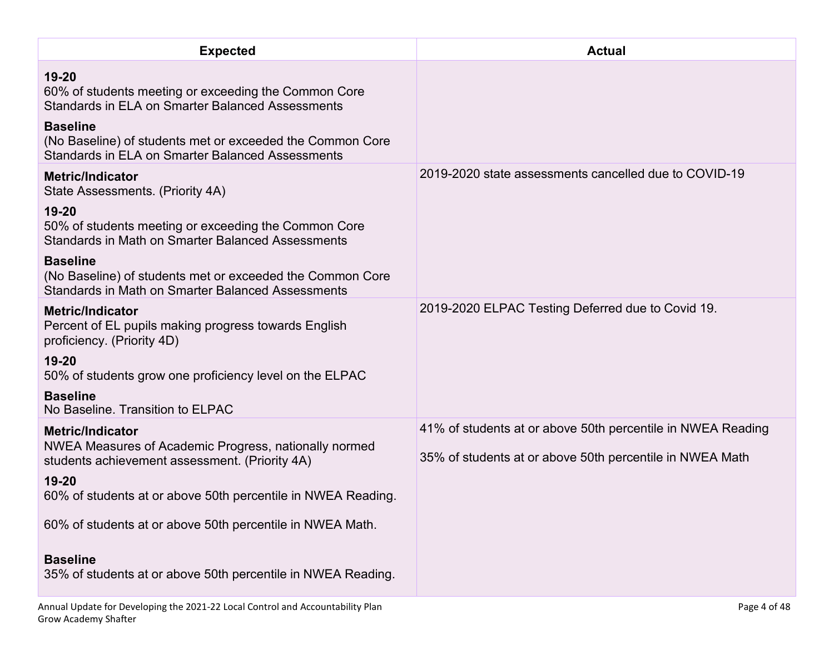| <b>Expected</b>                                                                                                                   | <b>Actual</b>                                               |
|-----------------------------------------------------------------------------------------------------------------------------------|-------------------------------------------------------------|
| $19 - 20$<br>60% of students meeting or exceeding the Common Core<br>Standards in ELA on Smarter Balanced Assessments             |                                                             |
| <b>Baseline</b><br>(No Baseline) of students met or exceeded the Common Core<br>Standards in ELA on Smarter Balanced Assessments  |                                                             |
| <b>Metric/Indicator</b><br>State Assessments. (Priority 4A)                                                                       | 2019-2020 state assessments cancelled due to COVID-19       |
| 19-20<br>50% of students meeting or exceeding the Common Core<br>Standards in Math on Smarter Balanced Assessments                |                                                             |
| <b>Baseline</b><br>(No Baseline) of students met or exceeded the Common Core<br>Standards in Math on Smarter Balanced Assessments |                                                             |
| <b>Metric/Indicator</b><br>Percent of EL pupils making progress towards English<br>proficiency. (Priority 4D)                     | 2019-2020 ELPAC Testing Deferred due to Covid 19.           |
| 19-20<br>50% of students grow one proficiency level on the ELPAC                                                                  |                                                             |
| <b>Baseline</b><br>No Baseline. Transition to ELPAC                                                                               |                                                             |
| <b>Metric/Indicator</b><br>NWEA Measures of Academic Progress, nationally normed                                                  | 41% of students at or above 50th percentile in NWEA Reading |
| students achievement assessment. (Priority 4A)<br>19-20<br>60% of students at or above 50th percentile in NWEA Reading.           | 35% of students at or above 50th percentile in NWEA Math    |
| 60% of students at or above 50th percentile in NWEA Math.                                                                         |                                                             |
| <b>Baseline</b><br>35% of students at or above 50th percentile in NWEA Reading.                                                   |                                                             |
| Annual Update for Developing the 2021-22 Local Control and Accountability Plan                                                    | Page 4 of 48                                                |

Grow Academy Shafter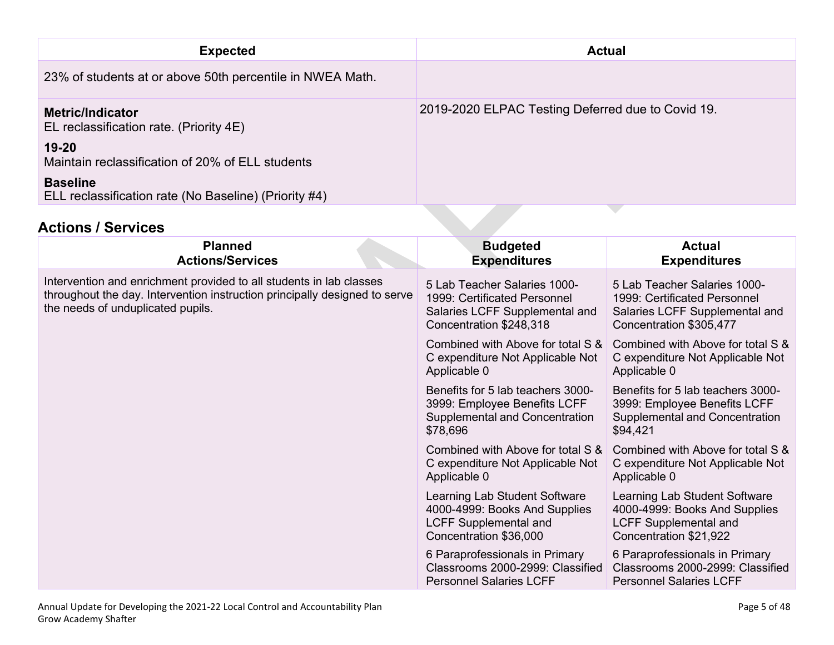| <b>Expected</b>                                                          | <b>Actual</b>                                     |
|--------------------------------------------------------------------------|---------------------------------------------------|
| 23% of students at or above 50th percentile in NWEA Math.                |                                                   |
| <b>Metric/Indicator</b><br>EL reclassification rate. (Priority 4E)       | 2019-2020 ELPAC Testing Deferred due to Covid 19. |
| $19 - 20$<br>Maintain reclassification of 20% of ELL students            |                                                   |
| <b>Baseline</b><br>ELL reclassification rate (No Baseline) (Priority #4) |                                                   |
|                                                                          |                                                   |

#### **Actions / [Services](http://www.doc-tracking.com/screenshots/21LCAP/Instructions/LCAPandLCPAnnualUpdateInstructions.htm#AUActions)**

| <b>Planned</b><br><b>Actions/Services</b>                                                                                                                                              | <b>Budgeted</b><br><b>Expenditures</b>                                                                                    | <b>Actual</b><br><b>Expenditures</b>                                                                                      |
|----------------------------------------------------------------------------------------------------------------------------------------------------------------------------------------|---------------------------------------------------------------------------------------------------------------------------|---------------------------------------------------------------------------------------------------------------------------|
| Intervention and enrichment provided to all students in lab classes<br>throughout the day. Intervention instruction principally designed to serve<br>the needs of unduplicated pupils. | 5 Lab Teacher Salaries 1000-<br>1999: Certificated Personnel<br>Salaries LCFF Supplemental and<br>Concentration \$248,318 | 5 Lab Teacher Salaries 1000-<br>1999: Certificated Personnel<br>Salaries LCFF Supplemental and<br>Concentration \$305,477 |
|                                                                                                                                                                                        | Combined with Above for total S &<br>C expenditure Not Applicable Not<br>Applicable 0                                     | Combined with Above for total S &<br>C expenditure Not Applicable Not<br>Applicable 0                                     |
|                                                                                                                                                                                        | Benefits for 5 lab teachers 3000-<br>3999: Employee Benefits LCFF<br>Supplemental and Concentration<br>\$78,696           | Benefits for 5 lab teachers 3000-<br>3999: Employee Benefits LCFF<br>Supplemental and Concentration<br>\$94,421           |
|                                                                                                                                                                                        | Combined with Above for total S &<br>C expenditure Not Applicable Not<br>Applicable 0                                     | Combined with Above for total S &<br>C expenditure Not Applicable Not<br>Applicable 0                                     |
|                                                                                                                                                                                        | Learning Lab Student Software<br>4000-4999: Books And Supplies<br><b>LCFF Supplemental and</b><br>Concentration \$36,000  | Learning Lab Student Software<br>4000-4999: Books And Supplies<br><b>LCFF Supplemental and</b><br>Concentration \$21,922  |
|                                                                                                                                                                                        | 6 Paraprofessionals in Primary<br>Classrooms 2000-2999: Classified<br><b>Personnel Salaries LCFF</b>                      | 6 Paraprofessionals in Primary<br>Classrooms 2000-2999: Classified<br><b>Personnel Salaries LCFF</b>                      |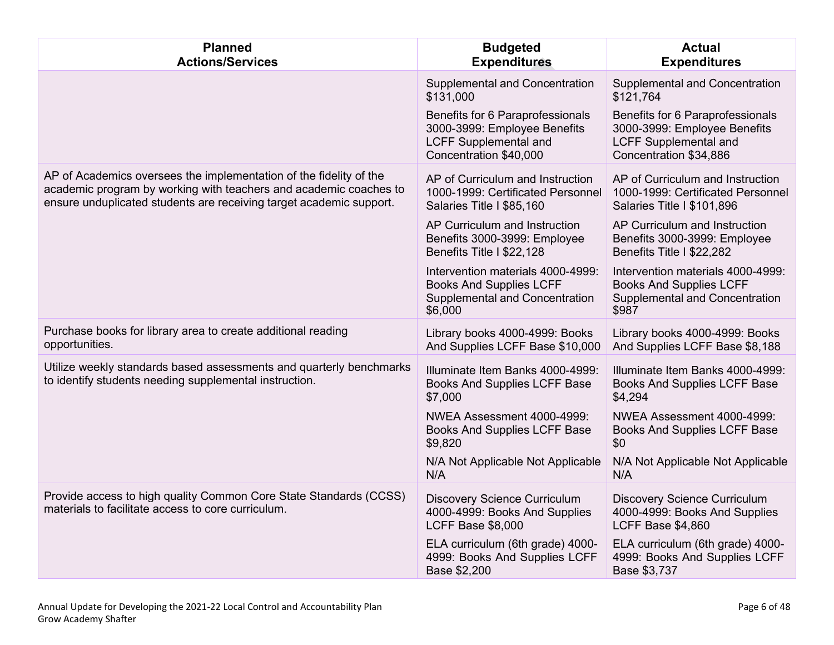| <b>Planned</b><br><b>Actions/Services</b>                                                                                                                                                                      | <b>Budgeted</b><br><b>Expenditures</b>                                                                                     | <b>Actual</b><br><b>Expenditures</b>                                                                                       |
|----------------------------------------------------------------------------------------------------------------------------------------------------------------------------------------------------------------|----------------------------------------------------------------------------------------------------------------------------|----------------------------------------------------------------------------------------------------------------------------|
|                                                                                                                                                                                                                | Supplemental and Concentration<br>\$131,000                                                                                | Supplemental and Concentration<br>\$121,764                                                                                |
|                                                                                                                                                                                                                | Benefits for 6 Paraprofessionals<br>3000-3999: Employee Benefits<br><b>LCFF Supplemental and</b><br>Concentration \$40,000 | Benefits for 6 Paraprofessionals<br>3000-3999: Employee Benefits<br><b>LCFF Supplemental and</b><br>Concentration \$34,886 |
| AP of Academics oversees the implementation of the fidelity of the<br>academic program by working with teachers and academic coaches to<br>ensure unduplicated students are receiving target academic support. | AP of Curriculum and Instruction<br>1000-1999: Certificated Personnel<br>Salaries Title I \$85,160                         | AP of Curriculum and Instruction<br>1000-1999: Certificated Personnel<br>Salaries Title I \$101,896                        |
|                                                                                                                                                                                                                | AP Curriculum and Instruction<br>Benefits 3000-3999: Employee<br>Benefits Title I \$22,128                                 | AP Curriculum and Instruction<br>Benefits 3000-3999: Employee<br>Benefits Title I \$22,282                                 |
|                                                                                                                                                                                                                | Intervention materials 4000-4999:<br><b>Books And Supplies LCFF</b><br>Supplemental and Concentration<br>\$6,000           | Intervention materials 4000-4999:<br><b>Books And Supplies LCFF</b><br>Supplemental and Concentration<br>\$987             |
| Purchase books for library area to create additional reading<br>opportunities.                                                                                                                                 | Library books 4000-4999: Books<br>And Supplies LCFF Base \$10,000                                                          | Library books 4000-4999: Books<br>And Supplies LCFF Base \$8,188                                                           |
| Utilize weekly standards based assessments and quarterly benchmarks<br>to identify students needing supplemental instruction.                                                                                  | Illuminate Item Banks 4000-4999:<br>Books And Supplies LCFF Base<br>\$7,000                                                | Illuminate Item Banks 4000-4999:<br>Books And Supplies LCFF Base<br>\$4,294                                                |
|                                                                                                                                                                                                                | NWEA Assessment 4000-4999:<br>Books And Supplies LCFF Base<br>\$9,820                                                      | NWEA Assessment 4000-4999:<br>Books And Supplies LCFF Base<br>\$0                                                          |
|                                                                                                                                                                                                                | N/A Not Applicable Not Applicable<br>N/A                                                                                   | N/A Not Applicable Not Applicable<br>N/A                                                                                   |
| Provide access to high quality Common Core State Standards (CCSS)<br>materials to facilitate access to core curriculum.                                                                                        | <b>Discovery Science Curriculum</b><br>4000-4999: Books And Supplies<br>LCFF Base \$8,000                                  | <b>Discovery Science Curriculum</b><br>4000-4999: Books And Supplies<br>LCFF Base \$4,860                                  |
|                                                                                                                                                                                                                | ELA curriculum (6th grade) 4000-<br>4999: Books And Supplies LCFF<br>Base \$2,200                                          | ELA curriculum (6th grade) 4000-<br>4999: Books And Supplies LCFF<br>Base \$3,737                                          |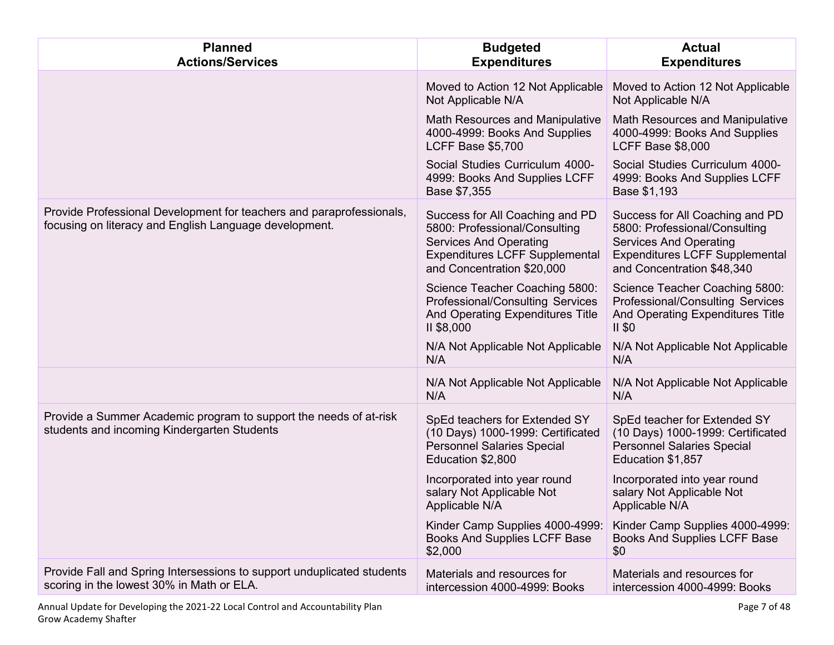| <b>Planned</b><br><b>Actions/Services</b>                                                                                      | <b>Budgeted</b><br><b>Expenditures</b>                                                                                                                                   | <b>Actual</b><br><b>Expenditures</b>                                                                                                                                     |
|--------------------------------------------------------------------------------------------------------------------------------|--------------------------------------------------------------------------------------------------------------------------------------------------------------------------|--------------------------------------------------------------------------------------------------------------------------------------------------------------------------|
|                                                                                                                                | Moved to Action 12 Not Applicable<br>Not Applicable N/A                                                                                                                  | Moved to Action 12 Not Applicable<br>Not Applicable N/A                                                                                                                  |
|                                                                                                                                | Math Resources and Manipulative<br>4000-4999: Books And Supplies<br><b>LCFF Base \$5,700</b>                                                                             | Math Resources and Manipulative<br>4000-4999: Books And Supplies<br>LCFF Base \$8,000                                                                                    |
|                                                                                                                                | Social Studies Curriculum 4000-<br>4999: Books And Supplies LCFF<br>Base \$7,355                                                                                         | Social Studies Curriculum 4000-<br>4999: Books And Supplies LCFF<br>Base \$1,193                                                                                         |
| Provide Professional Development for teachers and paraprofessionals,<br>focusing on literacy and English Language development. | Success for All Coaching and PD<br>5800: Professional/Consulting<br><b>Services And Operating</b><br><b>Expenditures LCFF Supplemental</b><br>and Concentration \$20,000 | Success for All Coaching and PD<br>5800: Professional/Consulting<br><b>Services And Operating</b><br><b>Expenditures LCFF Supplemental</b><br>and Concentration \$48,340 |
|                                                                                                                                | Science Teacher Coaching 5800:<br>Professional/Consulting Services<br>And Operating Expenditures Title<br>II \$8,000                                                     | Science Teacher Coaching 5800:<br>Professional/Consulting Services<br>And Operating Expenditures Title<br>$II$ \$0                                                       |
|                                                                                                                                | N/A Not Applicable Not Applicable<br>N/A                                                                                                                                 | N/A Not Applicable Not Applicable<br>N/A                                                                                                                                 |
|                                                                                                                                | N/A Not Applicable Not Applicable<br>N/A                                                                                                                                 | N/A Not Applicable Not Applicable<br>N/A                                                                                                                                 |
| Provide a Summer Academic program to support the needs of at-risk<br>students and incoming Kindergarten Students               | SpEd teachers for Extended SY<br>(10 Days) 1000-1999: Certificated<br><b>Personnel Salaries Special</b><br>Education \$2,800                                             | SpEd teacher for Extended SY<br>(10 Days) 1000-1999: Certificated<br><b>Personnel Salaries Special</b><br>Education \$1,857                                              |
|                                                                                                                                | Incorporated into year round<br>salary Not Applicable Not<br>Applicable N/A                                                                                              | Incorporated into year round<br>salary Not Applicable Not<br>Applicable N/A                                                                                              |
|                                                                                                                                | Kinder Camp Supplies 4000-4999:<br><b>Books And Supplies LCFF Base</b><br>\$2,000                                                                                        | Kinder Camp Supplies 4000-4999:<br>Books And Supplies LCFF Base<br>\$0                                                                                                   |
| Provide Fall and Spring Intersessions to support unduplicated students<br>scoring in the lowest 30% in Math or ELA.            | Materials and resources for<br>intercession 4000-4999: Books                                                                                                             | Materials and resources for<br>intercession 4000-4999: Books                                                                                                             |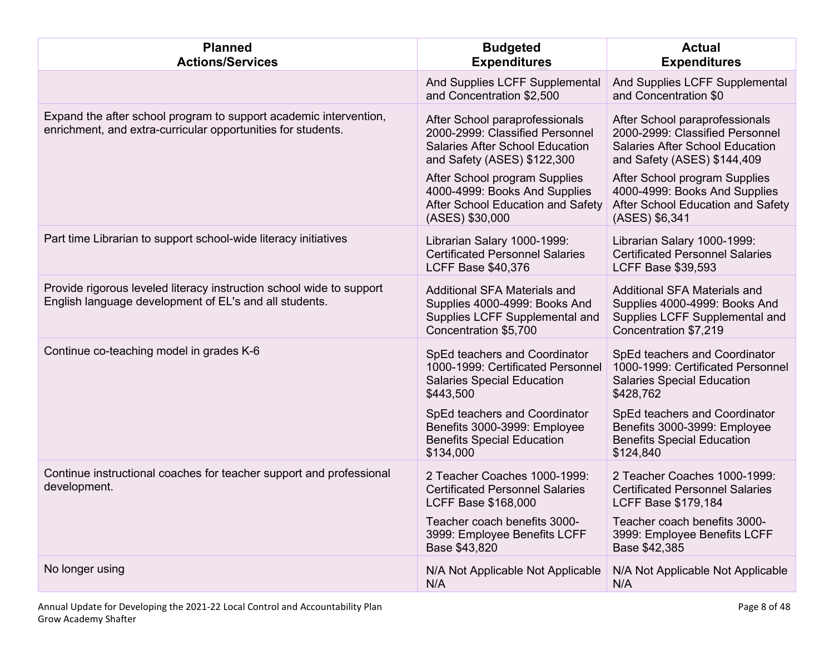| <b>Planned</b><br><b>Actions/Services</b>                                                                                         | <b>Budgeted</b><br><b>Expenditures</b>                                                                                                     | <b>Actual</b><br><b>Expenditures</b>                                                                                                       |
|-----------------------------------------------------------------------------------------------------------------------------------|--------------------------------------------------------------------------------------------------------------------------------------------|--------------------------------------------------------------------------------------------------------------------------------------------|
|                                                                                                                                   | And Supplies LCFF Supplemental<br>and Concentration \$2,500                                                                                | And Supplies LCFF Supplemental<br>and Concentration \$0                                                                                    |
| Expand the after school program to support academic intervention,<br>enrichment, and extra-curricular opportunities for students. | After School paraprofessionals<br>2000-2999: Classified Personnel<br><b>Salaries After School Education</b><br>and Safety (ASES) \$122,300 | After School paraprofessionals<br>2000-2999: Classified Personnel<br><b>Salaries After School Education</b><br>and Safety (ASES) \$144,409 |
|                                                                                                                                   | After School program Supplies<br>4000-4999: Books And Supplies<br>After School Education and Safety<br>(ASES) \$30,000                     | After School program Supplies<br>4000-4999: Books And Supplies<br>After School Education and Safety<br>(ASES) \$6,341                      |
| Part time Librarian to support school-wide literacy initiatives                                                                   | Librarian Salary 1000-1999:<br><b>Certificated Personnel Salaries</b><br><b>LCFF Base \$40,376</b>                                         | Librarian Salary 1000-1999:<br><b>Certificated Personnel Salaries</b><br><b>LCFF Base \$39,593</b>                                         |
| Provide rigorous leveled literacy instruction school wide to support<br>English language development of EL's and all students.    | <b>Additional SFA Materials and</b><br>Supplies 4000-4999: Books And<br>Supplies LCFF Supplemental and<br>Concentration \$5,700            | <b>Additional SFA Materials and</b><br>Supplies 4000-4999: Books And<br>Supplies LCFF Supplemental and<br>Concentration \$7,219            |
| Continue co-teaching model in grades K-6                                                                                          | SpEd teachers and Coordinator<br>1000-1999: Certificated Personnel<br><b>Salaries Special Education</b><br>\$443,500                       | SpEd teachers and Coordinator<br>1000-1999: Certificated Personnel<br><b>Salaries Special Education</b><br>\$428,762                       |
|                                                                                                                                   | SpEd teachers and Coordinator<br>Benefits 3000-3999: Employee<br><b>Benefits Special Education</b><br>\$134,000                            | SpEd teachers and Coordinator<br>Benefits 3000-3999: Employee<br><b>Benefits Special Education</b><br>\$124,840                            |
| Continue instructional coaches for teacher support and professional<br>development.                                               | 2 Teacher Coaches 1000-1999:<br><b>Certificated Personnel Salaries</b><br>LCFF Base \$168,000                                              | 2 Teacher Coaches 1000-1999:<br><b>Certificated Personnel Salaries</b><br>LCFF Base \$179,184                                              |
|                                                                                                                                   | Teacher coach benefits 3000-<br>3999: Employee Benefits LCFF<br>Base \$43,820                                                              | Teacher coach benefits 3000-<br>3999: Employee Benefits LCFF<br>Base \$42,385                                                              |
| No longer using                                                                                                                   | N/A Not Applicable Not Applicable<br>N/A                                                                                                   | N/A Not Applicable Not Applicable<br>N/A                                                                                                   |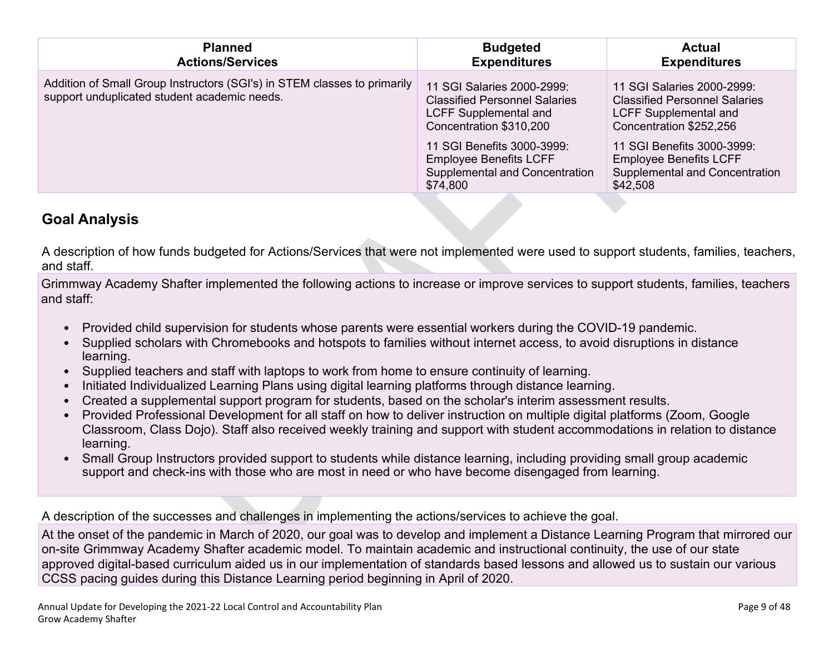| <b>Planned</b><br><b>Actions/Services</b>                                                                                | <b>Budgeted</b><br><b>Expenditures</b>                                                                                        | <b>Actual</b><br><b>Expenditures</b>                                                                                          |
|--------------------------------------------------------------------------------------------------------------------------|-------------------------------------------------------------------------------------------------------------------------------|-------------------------------------------------------------------------------------------------------------------------------|
| Addition of Small Group Instructors (SGI's) in STEM classes to primarily<br>support unduplicated student academic needs. | 11 SGI Salaries 2000-2999:<br><b>Classified Personnel Salaries</b><br><b>LCFF Supplemental and</b><br>Concentration \$310,200 | 11 SGI Salaries 2000-2999:<br><b>Classified Personnel Salaries</b><br><b>LCFF Supplemental and</b><br>Concentration \$252,256 |
|                                                                                                                          | 11 SGI Benefits 3000-3999:<br><b>Employee Benefits LCFF</b><br>Supplemental and Concentration<br>\$74,800                     | 11 SGI Benefits 3000-3999:<br><b>Employee Benefits LCFF</b><br>Supplemental and Concentration<br>\$42,508                     |

#### **Goal [Analysis](http://www.doc-tracking.com/screenshots/21LCAP/Instructions/LCAPandLCPAnnualUpdateInstructions.htm#GoalAnalysis)**

A description of how funds budgeted for Actions/Services that were not implemented were used to support students, families, teachers, and staff.

Grimmway Academy Shafter implemented the following actions to increase or improve services to support students, families, teachers and staff:

- Provided child supervision for students whose parents were essential workers during the COVID-19 pandemic.
- Supplied scholars with Chromebooks and hotspots to families without internet access, to avoid disruptions in distance learning.
- Supplied teachers and staff with laptops to work from home to ensure continuity of learning.
- Initiated Individualized Learning Plans using digital learning platforms through distance learning.
- Created a supplemental support program for students, based on the scholar's interim assessment results.
- Provided Professional Development for all staff on how to deliver instruction on multiple digital platforms (Zoom, Google Classroom, Class Dojo). Staff also received weekly training and support with student accommodations in relation to distance learning.
- Small Group Instructors provided support to students while distance learning, including providing small group academic support and check-ins with those who are most in need or who have become disengaged from learning.

A description of the successes and challenges in implementing the actions/services to achieve the goal.

At the onset of the pandemic in March of 2020, our goal was to develop and implement a Distance Learning Program that mirrored our on-site Grimmway Academy Shafter academic model. To maintain academic and instructional continuity, the use of our state approved digital-based curriculum aided us in our implementation of standards based lessons and allowed us to sustain our various CCSS pacing guides during this Distance Learning period beginning in April of 2020.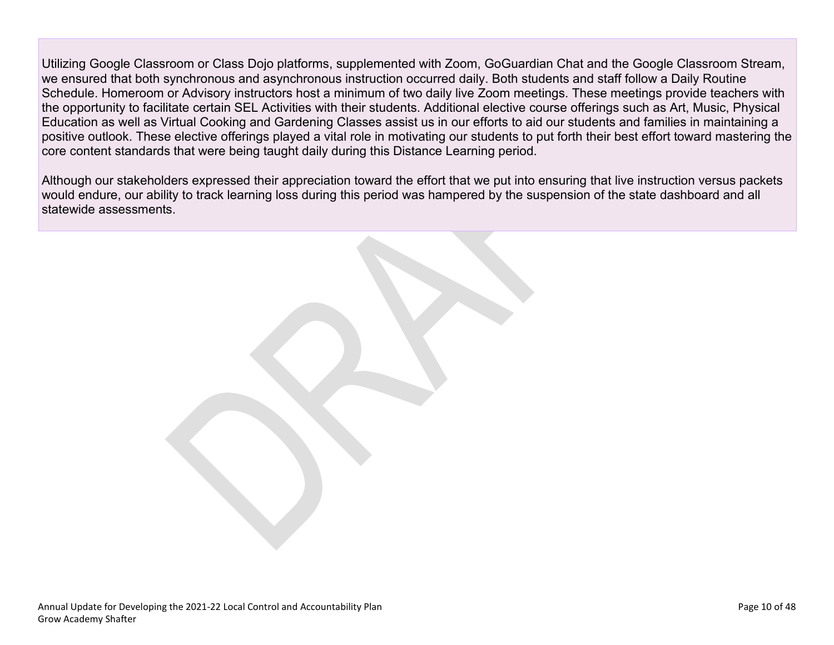Utilizing Google Classroom or Class Dojo platforms, supplemented with Zoom, GoGuardian Chat and the Google Classroom Stream, we ensured that both synchronous and asynchronous instruction occurred daily. Both students and staff follow a Daily Routine Schedule. Homeroom or Advisory instructors host a minimum of two daily live Zoom meetings. These meetings provide teachers with the opportunity to facilitate certain SEL Activities with their students. Additional elective course offerings such as Art, Music, Physical Education as well as Virtual Cooking and Gardening Classes assist us in our efforts to aid our students and families in maintaining a positive outlook. These elective offerings played a vital role in motivating our students to put forth their best effort toward mastering the core content standards that were being taught daily during this Distance Learning period.

Although our stakeholders expressed their appreciation toward the effort that we put into ensuring that live instruction versus packets would endure, our ability to track learning loss during this period was hampered by the suspension of the state dashboard and all statewide assessments.

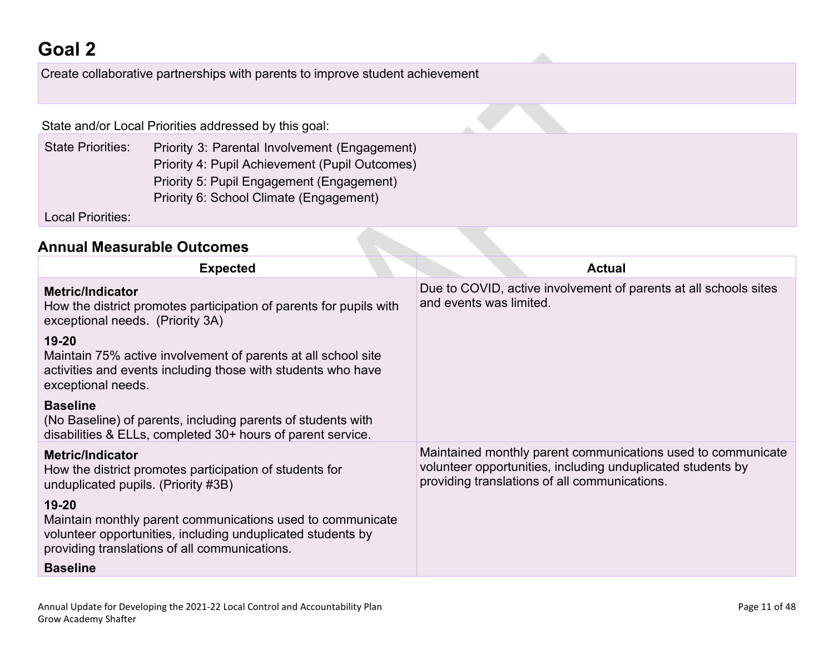# **[Goal](http://www.doc-tracking.com/screenshots/21LCAP/Instructions/LCAPandLCPAnnualUpdateInstructions.htm#AnnualUpdate) 2**

Create collaborative partnerships with parents to improve student achievement

#### State and/or Local Priorities addressed by this goal:

State Priorities: Priority 3: Parental Involvement (Engagement) Priority 4: Pupil Achievement (Pupil Outcomes) Priority 5: Pupil Engagement (Engagement) Priority 6: School Climate (Engagement)

Local Priorities:

#### **Annual [Measurable](http://www.doc-tracking.com/screenshots/21LCAP/Instructions/LCAPandLCPAnnualUpdateInstructions.htm#AMOs) Outcomes**

| <b>Expected</b>                                                                                                                                                                         | <b>Actual</b>                                                                                                                                                                |
|-----------------------------------------------------------------------------------------------------------------------------------------------------------------------------------------|------------------------------------------------------------------------------------------------------------------------------------------------------------------------------|
| <b>Metric/Indicator</b><br>How the district promotes participation of parents for pupils with<br>exceptional needs. (Priority 3A)                                                       | Due to COVID, active involvement of parents at all schools sites<br>and events was limited.                                                                                  |
| $19 - 20$<br>Maintain 75% active involvement of parents at all school site<br>activities and events including those with students who have<br>exceptional needs.                        |                                                                                                                                                                              |
| <b>Baseline</b><br>(No Baseline) of parents, including parents of students with<br>disabilities & ELLs, completed 30+ hours of parent service.                                          |                                                                                                                                                                              |
| <b>Metric/Indicator</b><br>How the district promotes participation of students for<br>unduplicated pupils. (Priority #3B)                                                               | Maintained monthly parent communications used to communicate<br>volunteer opportunities, including unduplicated students by<br>providing translations of all communications. |
| $19 - 20$<br>Maintain monthly parent communications used to communicate<br>volunteer opportunities, including unduplicated students by<br>providing translations of all communications. |                                                                                                                                                                              |
| <b>Baseline</b>                                                                                                                                                                         |                                                                                                                                                                              |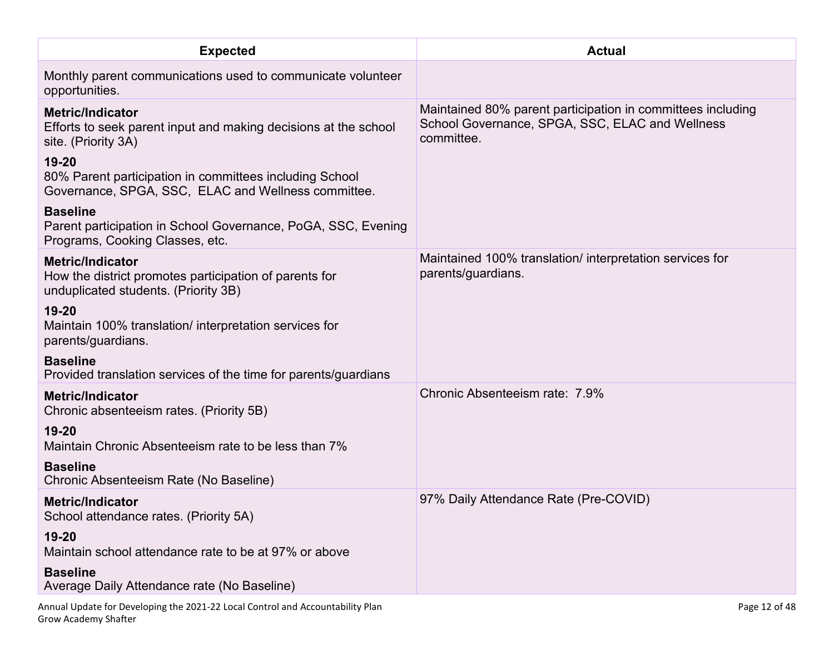| <b>Expected</b>                                                                                                                                                                                       | <b>Actual</b>                                                                                                                |
|-------------------------------------------------------------------------------------------------------------------------------------------------------------------------------------------------------|------------------------------------------------------------------------------------------------------------------------------|
| Monthly parent communications used to communicate volunteer<br>opportunities.                                                                                                                         |                                                                                                                              |
| <b>Metric/Indicator</b><br>Efforts to seek parent input and making decisions at the school<br>site. (Priority 3A)                                                                                     | Maintained 80% parent participation in committees including<br>School Governance, SPGA, SSC, ELAC and Wellness<br>committee. |
| 19-20<br>80% Parent participation in committees including School<br>Governance, SPGA, SSC, ELAC and Wellness committee.                                                                               |                                                                                                                              |
| <b>Baseline</b><br>Parent participation in School Governance, PoGA, SSC, Evening<br>Programs, Cooking Classes, etc.                                                                                   |                                                                                                                              |
| <b>Metric/Indicator</b><br>How the district promotes participation of parents for<br>unduplicated students. (Priority 3B)                                                                             | Maintained 100% translation/ interpretation services for<br>parents/guardians.                                               |
| 19-20<br>Maintain 100% translation/interpretation services for<br>parents/guardians.                                                                                                                  |                                                                                                                              |
| <b>Baseline</b><br>Provided translation services of the time for parents/guardians                                                                                                                    |                                                                                                                              |
| <b>Metric/Indicator</b><br>Chronic absenteeism rates. (Priority 5B)<br>$19 - 20$<br>Maintain Chronic Absenteeism rate to be less than 7%<br><b>Baseline</b><br>Chronic Absenteeism Rate (No Baseline) | Chronic Absenteeism rate: 7.9%                                                                                               |
| <b>Metric/Indicator</b><br>School attendance rates. (Priority 5A)<br>19-20<br>Maintain school attendance rate to be at 97% or above<br><b>Baseline</b><br>Average Daily Attendance rate (No Baseline) | 97% Daily Attendance Rate (Pre-COVID)                                                                                        |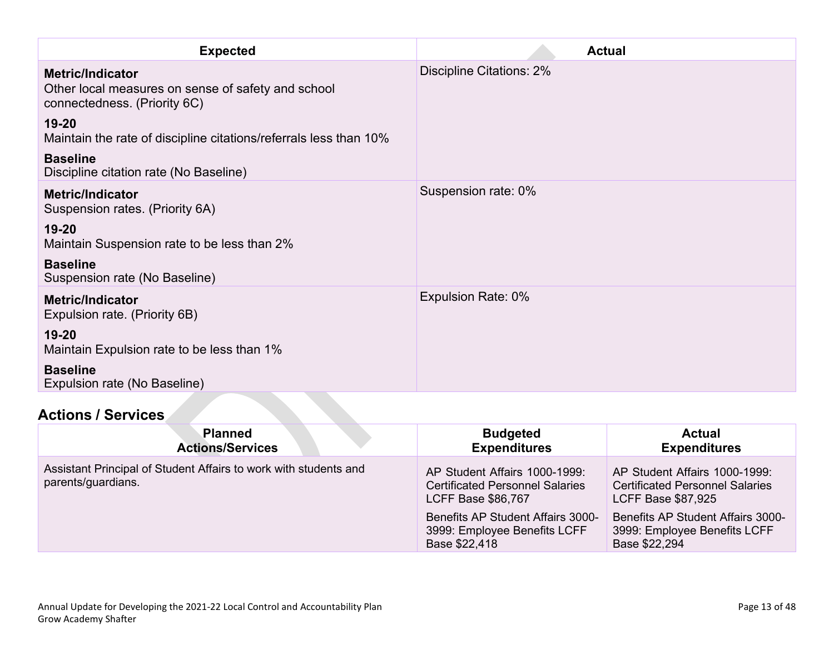| <b>Expected</b>                                                                                               | <b>Actual</b>             |
|---------------------------------------------------------------------------------------------------------------|---------------------------|
| <b>Metric/Indicator</b><br>Other local measures on sense of safety and school<br>connectedness. (Priority 6C) | Discipline Citations: 2%  |
| $19 - 20$<br>Maintain the rate of discipline citations/referrals less than 10%                                |                           |
| <b>Baseline</b><br>Discipline citation rate (No Baseline)                                                     |                           |
| <b>Metric/Indicator</b><br>Suspension rates. (Priority 6A)                                                    | Suspension rate: 0%       |
| $19 - 20$<br>Maintain Suspension rate to be less than 2%                                                      |                           |
| <b>Baseline</b><br>Suspension rate (No Baseline)                                                              |                           |
| <b>Metric/Indicator</b><br>Expulsion rate. (Priority 6B)                                                      | <b>Expulsion Rate: 0%</b> |
| 19-20<br>Maintain Expulsion rate to be less than 1%                                                           |                           |
| <b>Baseline</b><br>Expulsion rate (No Baseline)                                                               |                           |

### **Actions / [Services](http://www.doc-tracking.com/screenshots/21LCAP/Instructions/LCAPandLCPAnnualUpdateInstructions.htm#AUActions)**

| Planned<br><b>Actions/Services</b>                                                     | <b>Budgeted</b><br><b>Expenditures</b>                                                               | <b>Actual</b><br><b>Expenditures</b>                                                          |
|----------------------------------------------------------------------------------------|------------------------------------------------------------------------------------------------------|-----------------------------------------------------------------------------------------------|
| Assistant Principal of Student Affairs to work with students and<br>parents/guardians. | AP Student Affairs 1000-1999:<br><b>Certificated Personnel Salaries</b><br><b>LCFF Base \$86,767</b> | AP Student Affairs 1000-1999:<br><b>Certificated Personnel Salaries</b><br>LCFF Base \$87,925 |
|                                                                                        | Benefits AP Student Affairs 3000-<br>3999: Employee Benefits LCFF<br>Base \$22,418                   | <b>Benefits AP Student Affairs 3000-</b><br>3999: Employee Benefits LCFF<br>Base \$22,294     |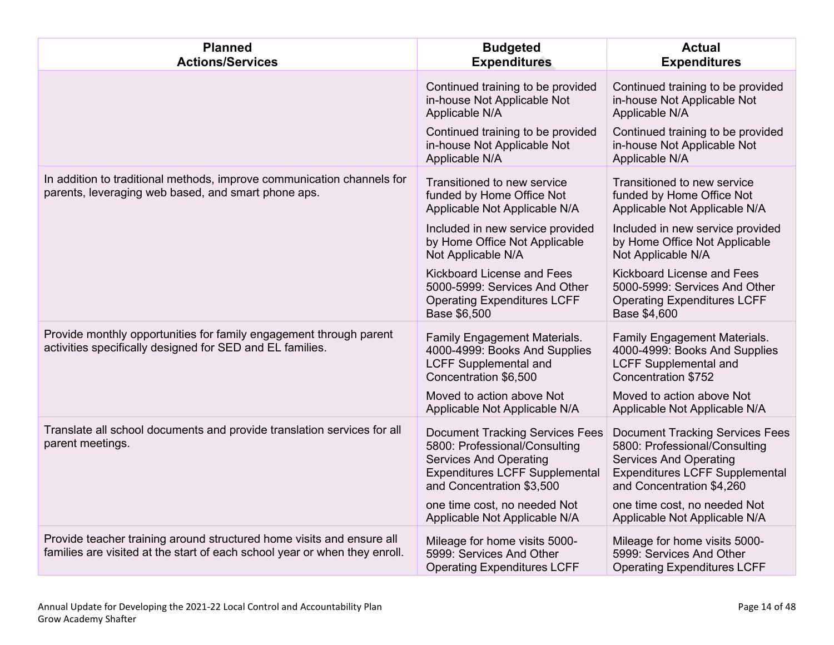| <b>Planned</b><br><b>Actions/Services</b>                                                                                                           | <b>Budgeted</b><br><b>Expenditures</b>                                                                                                                                         | <b>Actual</b><br><b>Expenditures</b>                                                                                                                                           |
|-----------------------------------------------------------------------------------------------------------------------------------------------------|--------------------------------------------------------------------------------------------------------------------------------------------------------------------------------|--------------------------------------------------------------------------------------------------------------------------------------------------------------------------------|
|                                                                                                                                                     | Continued training to be provided<br>in-house Not Applicable Not<br>Applicable N/A                                                                                             | Continued training to be provided<br>in-house Not Applicable Not<br>Applicable N/A                                                                                             |
|                                                                                                                                                     | Continued training to be provided<br>in-house Not Applicable Not<br>Applicable N/A                                                                                             | Continued training to be provided<br>in-house Not Applicable Not<br>Applicable N/A                                                                                             |
| In addition to traditional methods, improve communication channels for<br>parents, leveraging web based, and smart phone aps.                       | Transitioned to new service<br>funded by Home Office Not<br>Applicable Not Applicable N/A                                                                                      | Transitioned to new service<br>funded by Home Office Not<br>Applicable Not Applicable N/A                                                                                      |
|                                                                                                                                                     | Included in new service provided<br>by Home Office Not Applicable<br>Not Applicable N/A                                                                                        | Included in new service provided<br>by Home Office Not Applicable<br>Not Applicable N/A                                                                                        |
|                                                                                                                                                     | <b>Kickboard License and Fees</b><br>5000-5999: Services And Other<br><b>Operating Expenditures LCFF</b><br>Base \$6,500                                                       | Kickboard License and Fees<br>5000-5999: Services And Other<br><b>Operating Expenditures LCFF</b><br>Base \$4,600                                                              |
| Provide monthly opportunities for family engagement through parent<br>activities specifically designed for SED and EL families.                     | <b>Family Engagement Materials.</b><br>4000-4999: Books And Supplies<br><b>LCFF Supplemental and</b><br>Concentration \$6,500                                                  | Family Engagement Materials.<br>4000-4999: Books And Supplies<br><b>LCFF Supplemental and</b><br><b>Concentration \$752</b>                                                    |
|                                                                                                                                                     | Moved to action above Not<br>Applicable Not Applicable N/A                                                                                                                     | Moved to action above Not<br>Applicable Not Applicable N/A                                                                                                                     |
| Translate all school documents and provide translation services for all<br>parent meetings.                                                         | <b>Document Tracking Services Fees</b><br>5800: Professional/Consulting<br><b>Services And Operating</b><br><b>Expenditures LCFF Supplemental</b><br>and Concentration \$3,500 | <b>Document Tracking Services Fees</b><br>5800: Professional/Consulting<br><b>Services And Operating</b><br><b>Expenditures LCFF Supplemental</b><br>and Concentration \$4,260 |
|                                                                                                                                                     | one time cost, no needed Not<br>Applicable Not Applicable N/A                                                                                                                  | one time cost, no needed Not<br>Applicable Not Applicable N/A                                                                                                                  |
| Provide teacher training around structured home visits and ensure all<br>families are visited at the start of each school year or when they enroll. | Mileage for home visits 5000-<br>5999: Services And Other<br><b>Operating Expenditures LCFF</b>                                                                                | Mileage for home visits 5000-<br>5999: Services And Other<br><b>Operating Expenditures LCFF</b>                                                                                |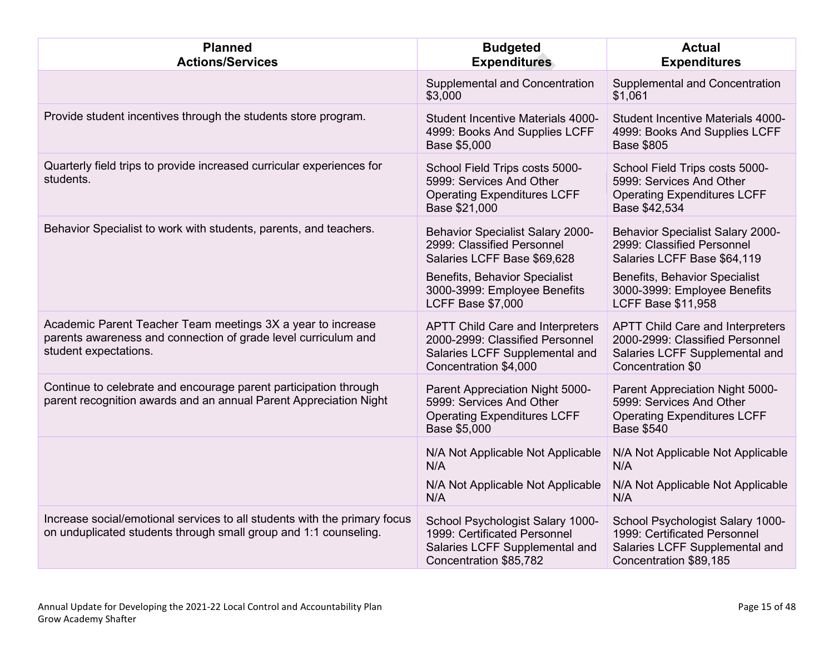| <b>Planned</b><br><b>Actions/Services</b>                                                                                                              | <b>Budgeted</b><br><b>Expenditures</b>                                                                                                | <b>Actual</b><br><b>Expenditures</b>                                                                                              |
|--------------------------------------------------------------------------------------------------------------------------------------------------------|---------------------------------------------------------------------------------------------------------------------------------------|-----------------------------------------------------------------------------------------------------------------------------------|
|                                                                                                                                                        | Supplemental and Concentration<br>\$3,000                                                                                             | Supplemental and Concentration<br>\$1,061                                                                                         |
| Provide student incentives through the students store program.                                                                                         | Student Incentive Materials 4000-<br>4999: Books And Supplies LCFF<br>Base \$5,000                                                    | Student Incentive Materials 4000-<br>4999: Books And Supplies LCFF<br><b>Base \$805</b>                                           |
| Quarterly field trips to provide increased curricular experiences for<br>students.                                                                     | School Field Trips costs 5000-<br>5999: Services And Other<br><b>Operating Expenditures LCFF</b><br>Base \$21,000                     | School Field Trips costs 5000-<br>5999: Services And Other<br><b>Operating Expenditures LCFF</b><br>Base \$42,534                 |
| Behavior Specialist to work with students, parents, and teachers.                                                                                      | <b>Behavior Specialist Salary 2000-</b><br>2999: Classified Personnel<br>Salaries LCFF Base \$69,628                                  | <b>Behavior Specialist Salary 2000-</b><br>2999: Classified Personnel<br>Salaries LCFF Base \$64,119                              |
|                                                                                                                                                        | Benefits, Behavior Specialist<br>3000-3999: Employee Benefits<br><b>LCFF Base \$7,000</b>                                             | <b>Benefits, Behavior Specialist</b><br>3000-3999: Employee Benefits<br><b>LCFF Base \$11,958</b>                                 |
| Academic Parent Teacher Team meetings 3X a year to increase<br>parents awareness and connection of grade level curriculum and<br>student expectations. | <b>APTT Child Care and Interpreters</b><br>2000-2999: Classified Personnel<br>Salaries LCFF Supplemental and<br>Concentration \$4,000 | <b>APTT Child Care and Interpreters</b><br>2000-2999: Classified Personnel<br>Salaries LCFF Supplemental and<br>Concentration \$0 |
| Continue to celebrate and encourage parent participation through<br>parent recognition awards and an annual Parent Appreciation Night                  | Parent Appreciation Night 5000-<br>5999: Services And Other<br><b>Operating Expenditures LCFF</b><br>Base \$5,000                     | Parent Appreciation Night 5000-<br>5999: Services And Other<br><b>Operating Expenditures LCFF</b><br><b>Base \$540</b>            |
|                                                                                                                                                        | N/A Not Applicable Not Applicable<br>N/A                                                                                              | N/A Not Applicable Not Applicable<br>N/A                                                                                          |
|                                                                                                                                                        | N/A Not Applicable Not Applicable<br>N/A                                                                                              | N/A Not Applicable Not Applicable<br>N/A                                                                                          |
| Increase social/emotional services to all students with the primary focus<br>on unduplicated students through small group and 1:1 counseling.          | School Psychologist Salary 1000-<br>1999: Certificated Personnel<br>Salaries LCFF Supplemental and<br>Concentration \$85,782          | School Psychologist Salary 1000-<br>1999: Certificated Personnel<br>Salaries LCFF Supplemental and<br>Concentration \$89,185      |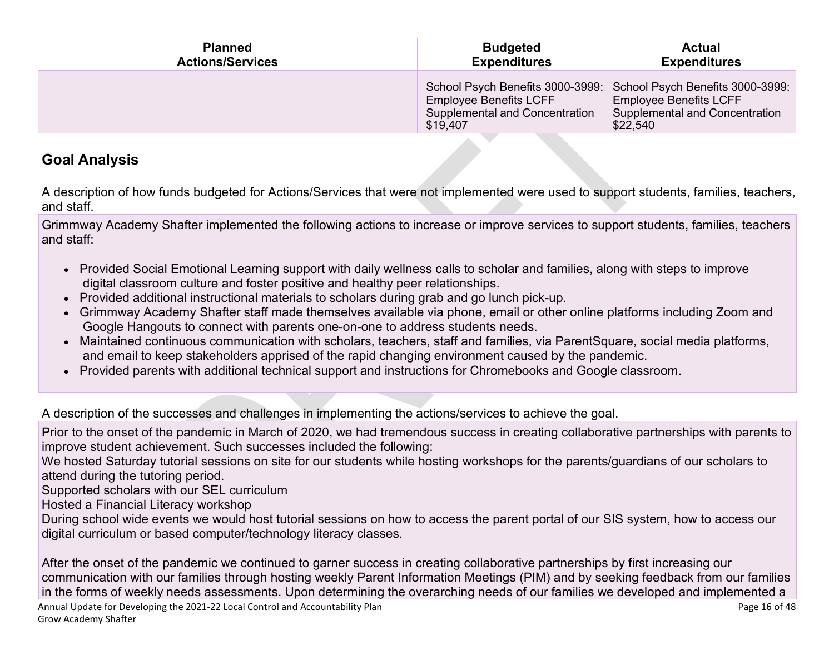| <b>Planned</b>          | <b>Budgeted</b>                                                             | <b>Actual</b>                                                                                                                                    |
|-------------------------|-----------------------------------------------------------------------------|--------------------------------------------------------------------------------------------------------------------------------------------------|
| <b>Actions/Services</b> | <b>Expenditures</b>                                                         | <b>Expenditures</b>                                                                                                                              |
|                         | <b>Employee Benefits LCFF</b><br>Supplemental and Concentration<br>\$19,407 | School Psych Benefits 3000-3999: School Psych Benefits 3000-3999:<br><b>Employee Benefits LCFF</b><br>Supplemental and Concentration<br>\$22,540 |

#### **Goal [Analysis](http://www.doc-tracking.com/screenshots/21LCAP/Instructions/LCAPandLCPAnnualUpdateInstructions.htm#GoalAnalysis)**

A description of how funds budgeted for Actions/Services that were not implemented were used to support students, families, teachers, and staff.

Grimmway Academy Shafter implemented the following actions to increase or improve services to support students, families, teachers and staff:

- Provided Social Emotional Learning support with daily wellness calls to scholar and families, along with steps to improve digital classroom culture and foster positive and healthy peer relationships.
- Provided additional instructional materials to scholars during grab and go lunch pick-up.
- Grimmway Academy Shafter staff made themselves available via phone, email or other online platforms including Zoom and Google Hangouts to connect with parents one-on-one to address students needs.
- Maintained continuous communication with scholars, teachers, staff and families, via ParentSquare, social media platforms, and email to keep stakeholders apprised of the rapid changing environment caused by the pandemic.
- Provided parents with additional technical support and instructions for Chromebooks and Google classroom.

A description of the successes and challenges in implementing the actions/services to achieve the goal.

Prior to the onset of the pandemic in March of 2020, we had tremendous success in creating collaborative partnerships with parents to improve student achievement. Such successes included the following:

We hosted Saturday tutorial sessions on site for our students while hosting workshops for the parents/guardians of our scholars to attend during the tutoring period.

Supported scholars with our SEL curriculum

Hosted a Financial Literacy workshop

During school wide events we would host tutorial sessions on how to access the parent portal of our SIS system, how to access our digital curriculum or based computer/technology literacy classes.

After the onset of the pandemic we continued to garner success in creating collaborative partnerships by first increasing our communication with our families through hosting weekly Parent Information Meetings (PIM) and by seeking feedback from our families in the forms of weekly needs assessments. Upon determining the overarching needs of our families we developed and implemented a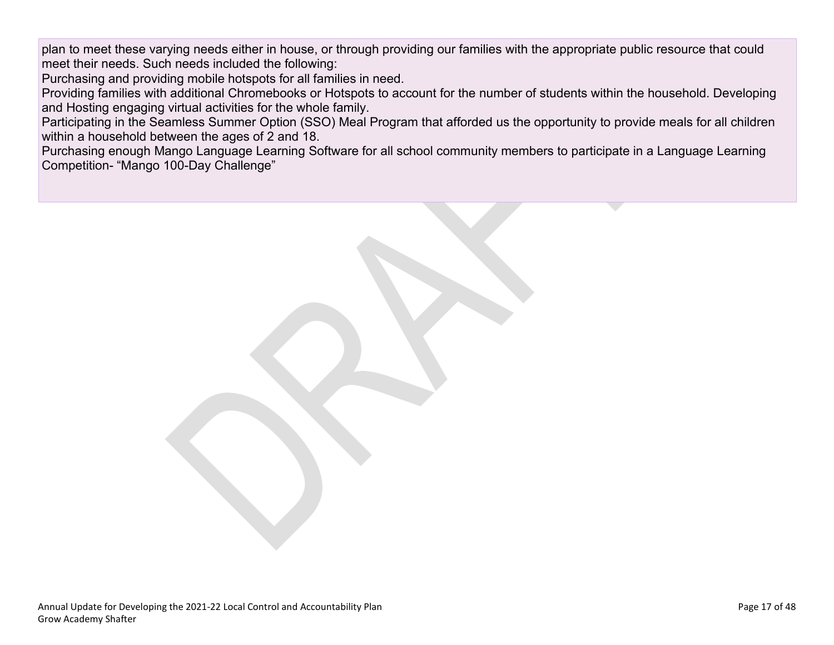plan to meet these varying needs either in house, or through providing our families with the appropriate public resource that could meet their needs. Such needs included the following:

Purchasing and providing mobile hotspots for all families in need.

Providing families with additional Chromebooks or Hotspots to account for the number of students within the household. Developing and Hosting engaging virtual activities for the whole family.

Participating in the Seamless Summer Option (SSO) Meal Program that afforded us the opportunity to provide meals for all children within a household between the ages of 2 and 18.

Purchasing enough Mango Language Learning Software for all school community members to participate in a Language Learning Competition- "Mango 100-Day Challenge"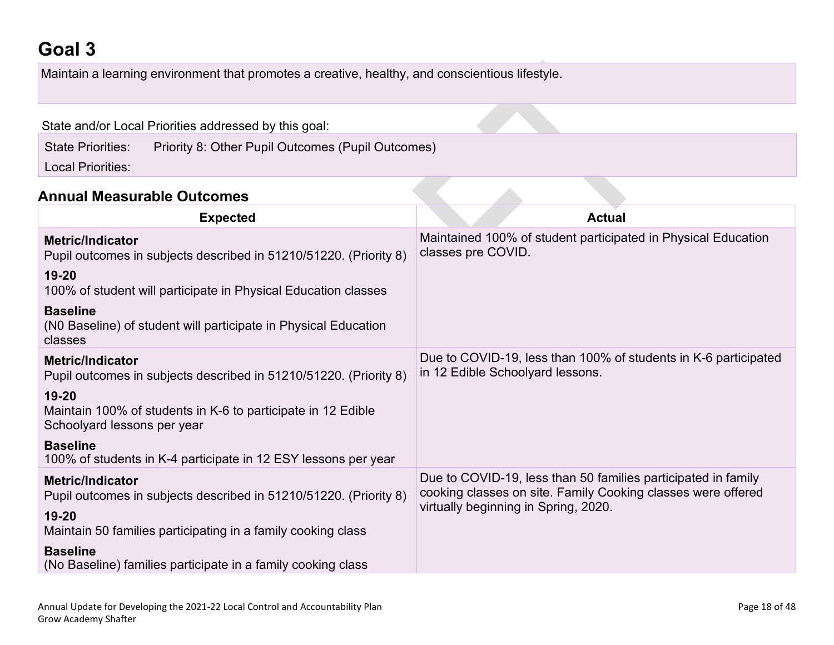# **[Goal](http://www.doc-tracking.com/screenshots/21LCAP/Instructions/LCAPandLCPAnnualUpdateInstructions.htm#AnnualUpdate) 3**

Maintain a learning environment that promotes a creative, healthy, and conscientious lifestyle.

State and/or Local Priorities addressed by this goal:

State Priorities: Priority 8: Other Pupil Outcomes (Pupil Outcomes)

Local Priorities:

#### **Annual [Measurable](http://www.doc-tracking.com/screenshots/21LCAP/Instructions/LCAPandLCPAnnualUpdateInstructions.htm#AMOs) Outcomes**

| <b>Expected</b>                                                                                                                                                           | <b>Actual</b>                                                                                                                                                         |
|---------------------------------------------------------------------------------------------------------------------------------------------------------------------------|-----------------------------------------------------------------------------------------------------------------------------------------------------------------------|
| <b>Metric/Indicator</b><br>Pupil outcomes in subjects described in 51210/51220. (Priority 8)                                                                              | Maintained 100% of student participated in Physical Education<br>classes pre COVID.                                                                                   |
| $19 - 20$<br>100% of student will participate in Physical Education classes                                                                                               |                                                                                                                                                                       |
| <b>Baseline</b><br>(N0 Baseline) of student will participate in Physical Education<br>classes                                                                             |                                                                                                                                                                       |
| <b>Metric/Indicator</b><br>Pupil outcomes in subjects described in 51210/51220. (Priority 8)                                                                              | Due to COVID-19, less than 100% of students in K-6 participated<br>in 12 Edible Schoolyard lessons.                                                                   |
| $19 - 20$<br>Maintain 100% of students in K-6 to participate in 12 Edible<br>Schoolyard lessons per year                                                                  |                                                                                                                                                                       |
| <b>Baseline</b><br>100% of students in K-4 participate in 12 ESY lessons per year                                                                                         |                                                                                                                                                                       |
| <b>Metric/Indicator</b><br>Pupil outcomes in subjects described in 51210/51220. (Priority 8)<br>$19 - 20$<br>Maintain 50 families participating in a family cooking class | Due to COVID-19, less than 50 families participated in family<br>cooking classes on site. Family Cooking classes were offered<br>virtually beginning in Spring, 2020. |
| <b>Baseline</b><br>(No Baseline) families participate in a family cooking class                                                                                           |                                                                                                                                                                       |

 $\mathcal{L}(\mathcal{C})$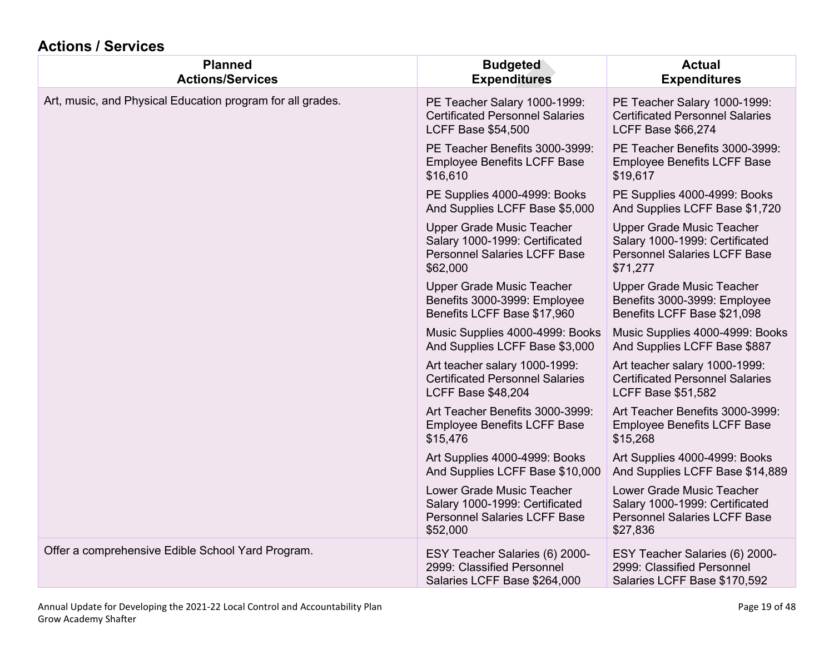### **Actions / [Services](http://www.doc-tracking.com/screenshots/21LCAP/Instructions/LCAPandLCPAnnualUpdateInstructions.htm#AUActions)**

| <b>Planned</b><br><b>Actions/Services</b>                  | <b>Budgeted</b><br><b>Expenditures</b>                                                                         | <b>Actual</b><br><b>Expenditures</b>                                                                           |
|------------------------------------------------------------|----------------------------------------------------------------------------------------------------------------|----------------------------------------------------------------------------------------------------------------|
| Art, music, and Physical Education program for all grades. | PE Teacher Salary 1000-1999:<br><b>Certificated Personnel Salaries</b><br><b>LCFF Base \$54,500</b>            | PE Teacher Salary 1000-1999:<br><b>Certificated Personnel Salaries</b><br><b>LCFF Base \$66,274</b>            |
|                                                            | PE Teacher Benefits 3000-3999:<br><b>Employee Benefits LCFF Base</b><br>\$16,610                               | PE Teacher Benefits 3000-3999:<br><b>Employee Benefits LCFF Base</b><br>\$19,617                               |
|                                                            | PE Supplies 4000-4999: Books<br>And Supplies LCFF Base \$5,000                                                 | PE Supplies 4000-4999: Books<br>And Supplies LCFF Base \$1,720                                                 |
|                                                            | Upper Grade Music Teacher<br>Salary 1000-1999: Certificated<br><b>Personnel Salaries LCFF Base</b><br>\$62,000 | Upper Grade Music Teacher<br>Salary 1000-1999: Certificated<br><b>Personnel Salaries LCFF Base</b><br>\$71,277 |
|                                                            | Upper Grade Music Teacher<br>Benefits 3000-3999: Employee<br>Benefits LCFF Base \$17,960                       | Upper Grade Music Teacher<br>Benefits 3000-3999: Employee<br>Benefits LCFF Base \$21,098                       |
|                                                            | Music Supplies 4000-4999: Books<br>And Supplies LCFF Base \$3,000                                              | Music Supplies 4000-4999: Books<br>And Supplies LCFF Base \$887                                                |
|                                                            | Art teacher salary 1000-1999:<br><b>Certificated Personnel Salaries</b><br><b>LCFF Base \$48,204</b>           | Art teacher salary 1000-1999:<br><b>Certificated Personnel Salaries</b><br><b>LCFF Base \$51,582</b>           |
|                                                            | Art Teacher Benefits 3000-3999:<br><b>Employee Benefits LCFF Base</b><br>\$15,476                              | Art Teacher Benefits 3000-3999:<br><b>Employee Benefits LCFF Base</b><br>\$15,268                              |
|                                                            | Art Supplies 4000-4999: Books<br>And Supplies LCFF Base \$10,000                                               | Art Supplies 4000-4999: Books<br>And Supplies LCFF Base \$14,889                                               |
|                                                            | Lower Grade Music Teacher<br>Salary 1000-1999: Certificated<br><b>Personnel Salaries LCFF Base</b><br>\$52,000 | Lower Grade Music Teacher<br>Salary 1000-1999: Certificated<br><b>Personnel Salaries LCFF Base</b><br>\$27,836 |
| Offer a comprehensive Edible School Yard Program.          | ESY Teacher Salaries (6) 2000-<br>2999: Classified Personnel<br>Salaries LCFF Base \$264,000                   | ESY Teacher Salaries (6) 2000-<br>2999: Classified Personnel<br>Salaries LCFF Base \$170,592                   |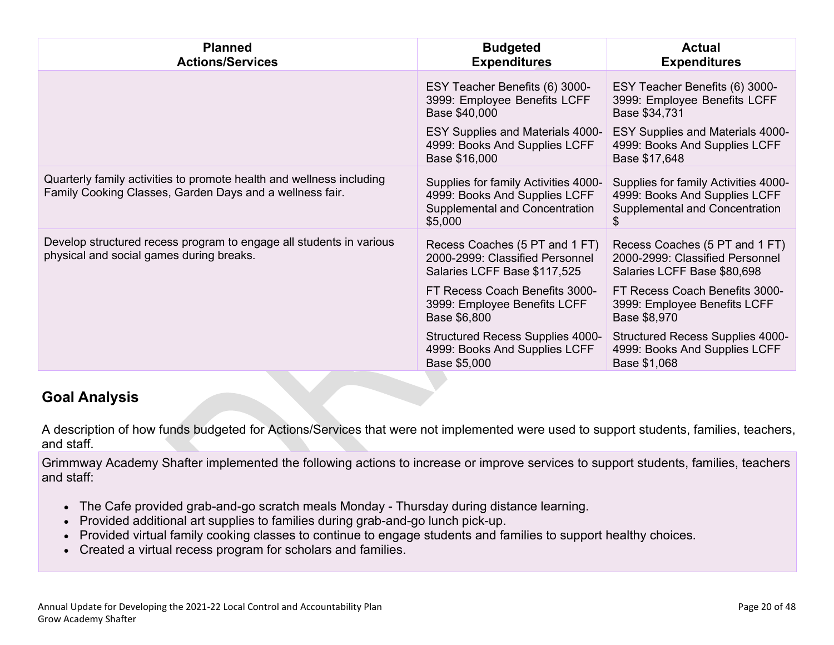| <b>Planned</b><br><b>Actions/Services</b>                                                                                        | <b>Budgeted</b><br><b>Expenditures</b>                                                                             | <b>Actual</b><br><b>Expenditures</b>                                                                           |  |
|----------------------------------------------------------------------------------------------------------------------------------|--------------------------------------------------------------------------------------------------------------------|----------------------------------------------------------------------------------------------------------------|--|
|                                                                                                                                  | ESY Teacher Benefits (6) 3000-<br>3999: Employee Benefits LCFF<br>Base \$40,000                                    | ESY Teacher Benefits (6) 3000-<br>3999: Employee Benefits LCFF<br>Base \$34,731                                |  |
|                                                                                                                                  | <b>ESY Supplies and Materials 4000-</b><br>4999: Books And Supplies LCFF<br>Base \$16,000                          | <b>ESY Supplies and Materials 4000-</b><br>4999: Books And Supplies LCFF<br>Base \$17,648                      |  |
| Quarterly family activities to promote health and wellness including<br>Family Cooking Classes, Garden Days and a wellness fair. | Supplies for family Activities 4000-<br>4999: Books And Supplies LCFF<br>Supplemental and Concentration<br>\$5,000 | Supplies for family Activities 4000-<br>4999: Books And Supplies LCFF<br><b>Supplemental and Concentration</b> |  |
| Develop structured recess program to engage all students in various<br>physical and social games during breaks.                  | Recess Coaches (5 PT and 1 FT)<br>2000-2999: Classified Personnel<br>Salaries LCFF Base \$117,525                  | Recess Coaches (5 PT and 1 FT)<br>2000-2999: Classified Personnel<br>Salaries LCFF Base \$80,698               |  |
|                                                                                                                                  | FT Recess Coach Benefits 3000-<br>3999: Employee Benefits LCFF<br>Base \$6,800                                     | FT Recess Coach Benefits 3000-<br>3999: Employee Benefits LCFF<br>Base \$8,970                                 |  |
|                                                                                                                                  | Structured Recess Supplies 4000-<br>4999: Books And Supplies LCFF<br>Base \$5,000                                  | <b>Structured Recess Supplies 4000-</b><br>4999: Books And Supplies LCFF<br>Base \$1,068                       |  |

#### **Goal [Analysis](http://www.doc-tracking.com/screenshots/21LCAP/Instructions/LCAPandLCPAnnualUpdateInstructions.htm#GoalAnalysis)**

A description of how funds budgeted for Actions/Services that were not implemented were used to support students, families, teachers, and staff.

Grimmway Academy Shafter implemented the following actions to increase or improve services to support students, families, teachers and staff:

- The Cafe provided grab-and-go scratch meals Monday Thursday during distance learning.
- Provided additional art supplies to families during grab-and-go lunch pick-up.
- Provided virtual family cooking classes to continue to engage students and families to support healthy choices.
- Created a virtual recess program for scholars and families.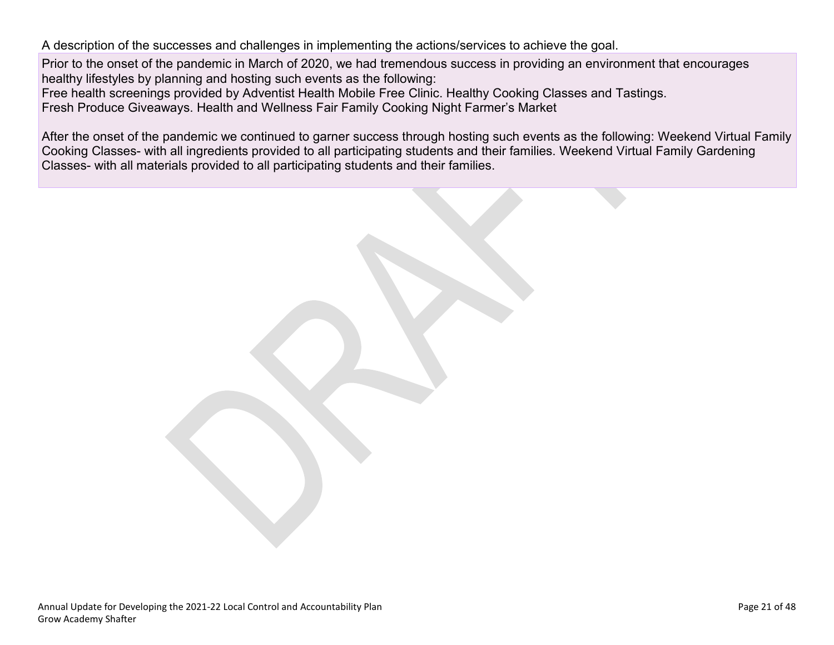A description of the successes and challenges in implementing the actions/services to achieve the goal.

Prior to the onset of the pandemic in March of 2020, we had tremendous success in providing an environment that encourages healthy lifestyles by planning and hosting such events as the following:

Free health screenings provided by Adventist Health Mobile Free Clinic. Healthy Cooking Classes and Tastings.

Fresh Produce Giveaways. Health and Wellness Fair Family Cooking Night Farmer's Market

After the onset of the pandemic we continued to garner success through hosting such events as the following: Weekend Virtual Family Cooking Classes- with all ingredients provided to all participating students and their families. Weekend Virtual Family Gardening Classes- with all materials provided to all participating students and their families.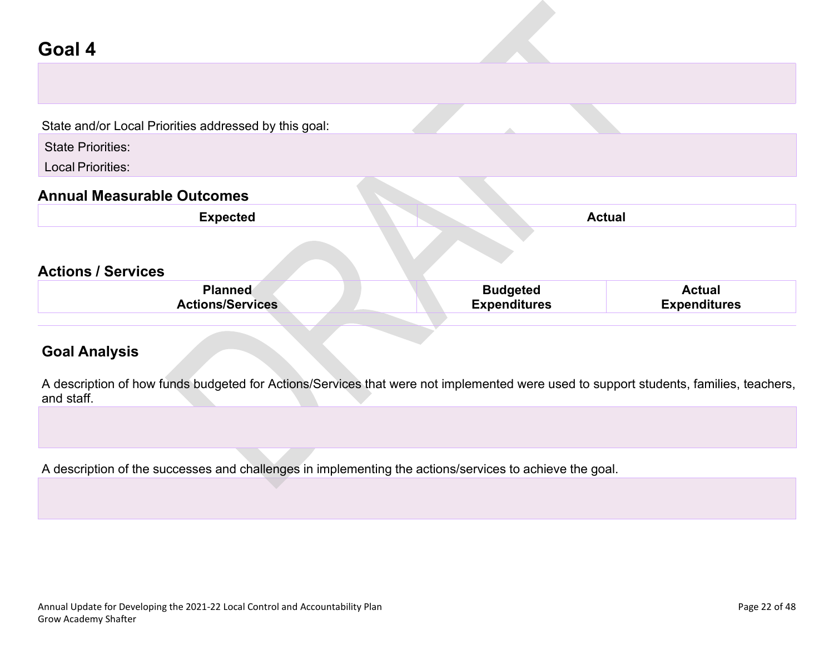### **[Goal](http://www.doc-tracking.com/screenshots/21LCAP/Instructions/LCAPandLCPAnnualUpdateInstructions.htm#AnnualUpdate) 4**

State and/or Local Priorities addressed by this goal:

State Priorities:

Local Priorities:

#### **Annual [Measurable](http://www.doc-tracking.com/screenshots/21LCAP/Instructions/LCAPandLCPAnnualUpdateInstructions.htm#AMOs) Outcomes**

|                           | <b>Expected</b>                           |                                        | <b>Actual</b>                        |
|---------------------------|-------------------------------------------|----------------------------------------|--------------------------------------|
| <b>Actions / Services</b> |                                           |                                        |                                      |
|                           | <b>Planned</b><br><b>Actions/Services</b> | <b>Budgeted</b><br><b>Expenditures</b> | <b>Actual</b><br><b>Expenditures</b> |

#### **Goal [Analysis](http://www.doc-tracking.com/screenshots/21LCAP/Instructions/LCAPandLCPAnnualUpdateInstructions.htm#GoalAnalysis)**

A description of how funds budgeted for Actions/Services that were not implemented were used to support students, families, teachers, and staff.

A description of the successes and challenges in implementing the actions/services to achieve the goal.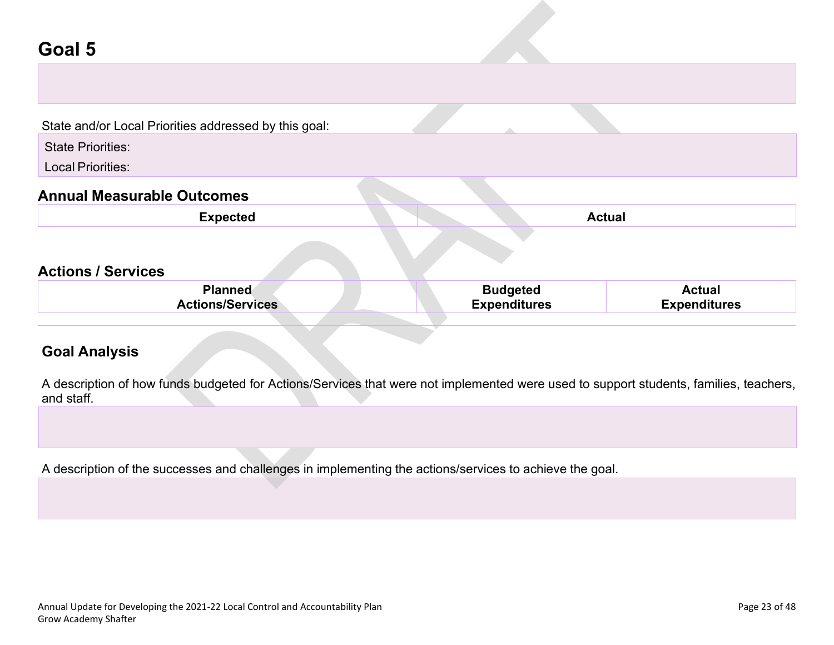## **[Goal](http://www.doc-tracking.com/screenshots/21LCAP/Instructions/LCAPandLCPAnnualUpdateInstructions.htm#AnnualUpdate) 5**

State and/or Local Priorities addressed by this goal:

State Priorities:

Local Priorities:

#### **Annual [Measurable](http://www.doc-tracking.com/screenshots/21LCAP/Instructions/LCAPandLCPAnnualUpdateInstructions.htm#AMOs) Outcomes**

|                           | <b>Expected</b>                           |                                        | <b>Actual</b>                        |
|---------------------------|-------------------------------------------|----------------------------------------|--------------------------------------|
| <b>Actions / Services</b> |                                           |                                        |                                      |
|                           | <b>Planned</b><br><b>Actions/Services</b> | <b>Budgeted</b><br><b>Expenditures</b> | <b>Actual</b><br><b>Expenditures</b> |

#### **Goal [Analysis](http://www.doc-tracking.com/screenshots/21LCAP/Instructions/LCAPandLCPAnnualUpdateInstructions.htm#GoalAnalysis)**

A description of how funds budgeted for Actions/Services that were not implemented were used to support students, families, teachers, and staff.

A description of the successes and challenges in implementing the actions/services to achieve the goal.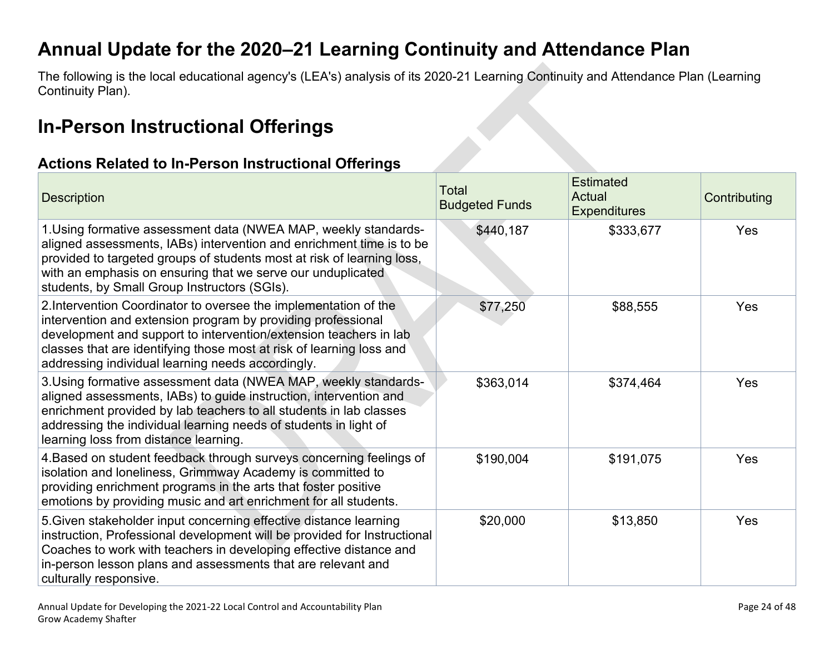## **Annual Update for the 2020–21 Learning Continuity and [Attendance](http://www.doc-tracking.com/screenshots/21LCAP/Instructions/LCAPandLCPAnnualUpdateInstructions.htm#LCPAnnualUpdate) Plan**

The following is the local educational agency's (LEA's) analysis of its 2020-21 Learning Continuity and Attendance Plan (Learning Continuity Plan).

## **In-Person [Instructional](http://www.doc-tracking.com/screenshots/21LCAP/Instructions/LCAPandLCPAnnualUpdateInstructions.htm#InPersonInstructionalOfferings) Offerings**

#### **Actions Related to In-Person Instructional Offerings**

| <b>Description</b>                                                                                                                                                                                                                                                                                                                 | <b>Total</b><br><b>Budgeted Funds</b> | <b>Estimated</b><br><b>Actual</b><br><b>Expenditures</b> | Contributing |
|------------------------------------------------------------------------------------------------------------------------------------------------------------------------------------------------------------------------------------------------------------------------------------------------------------------------------------|---------------------------------------|----------------------------------------------------------|--------------|
| 1. Using formative assessment data (NWEA MAP, weekly standards-<br>aligned assessments, IABs) intervention and enrichment time is to be<br>provided to targeted groups of students most at risk of learning loss,<br>with an emphasis on ensuring that we serve our unduplicated<br>students, by Small Group Instructors (SGIs).   | \$440,187                             | \$333,677                                                | Yes          |
| 2. Intervention Coordinator to oversee the implementation of the<br>intervention and extension program by providing professional<br>development and support to intervention/extension teachers in lab<br>classes that are identifying those most at risk of learning loss and<br>addressing individual learning needs accordingly. | \$77,250                              | \$88,555                                                 | Yes          |
| 3. Using formative assessment data (NWEA MAP, weekly standards-<br>aligned assessments, IABs) to guide instruction, intervention and<br>enrichment provided by lab teachers to all students in lab classes<br>addressing the individual learning needs of students in light of<br>learning loss from distance learning.            | \$363,014                             | \$374,464                                                | Yes          |
| 4. Based on student feedback through surveys concerning feelings of<br>isolation and loneliness, Grimmway Academy is committed to<br>providing enrichment programs in the arts that foster positive<br>emotions by providing music and art enrichment for all students.                                                            | \$190,004                             | \$191,075                                                | Yes          |
| 5. Given stakeholder input concerning effective distance learning<br>instruction, Professional development will be provided for Instructional<br>Coaches to work with teachers in developing effective distance and<br>in-person lesson plans and assessments that are relevant and<br>culturally responsive.                      | \$20,000                              | \$13,850                                                 | Yes          |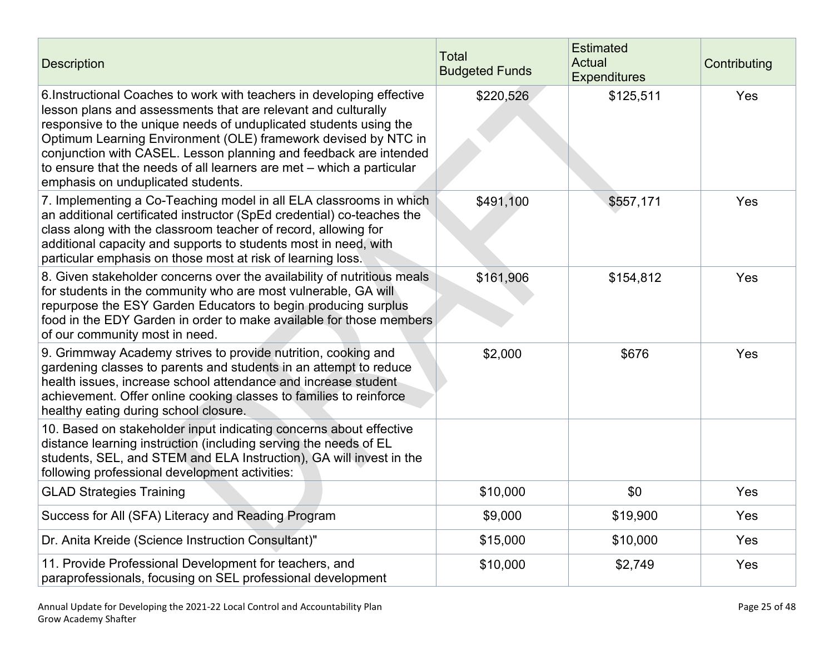| <b>Description</b>                                                                                                                                                                                                                                                                                                                                                                                                                                                 | <b>Total</b><br><b>Budgeted Funds</b> | <b>Estimated</b><br>Actual<br><b>Expenditures</b> | Contributing |
|--------------------------------------------------------------------------------------------------------------------------------------------------------------------------------------------------------------------------------------------------------------------------------------------------------------------------------------------------------------------------------------------------------------------------------------------------------------------|---------------------------------------|---------------------------------------------------|--------------|
| 6. Instructional Coaches to work with teachers in developing effective<br>lesson plans and assessments that are relevant and culturally<br>responsive to the unique needs of unduplicated students using the<br>Optimum Learning Environment (OLE) framework devised by NTC in<br>conjunction with CASEL. Lesson planning and feedback are intended<br>to ensure that the needs of all learners are met - which a particular<br>emphasis on unduplicated students. | \$220,526                             | \$125,511                                         | Yes          |
| 7. Implementing a Co-Teaching model in all ELA classrooms in which<br>an additional certificated instructor (SpEd credential) co-teaches the<br>class along with the classroom teacher of record, allowing for<br>additional capacity and supports to students most in need, with<br>particular emphasis on those most at risk of learning loss.                                                                                                                   | \$491,100                             | \$557,171                                         | Yes          |
| 8. Given stakeholder concerns over the availability of nutritious meals<br>for students in the community who are most vulnerable, GA will<br>repurpose the ESY Garden Educators to begin producing surplus<br>food in the EDY Garden in order to make available for those members<br>of our community most in need.                                                                                                                                                | \$161,906                             | \$154,812                                         | Yes          |
| 9. Grimmway Academy strives to provide nutrition, cooking and<br>gardening classes to parents and students in an attempt to reduce<br>health issues, increase school attendance and increase student<br>achievement. Offer online cooking classes to families to reinforce<br>healthy eating during school closure.                                                                                                                                                | \$2,000                               | \$676                                             | Yes          |
| 10. Based on stakeholder input indicating concerns about effective<br>distance learning instruction (including serving the needs of EL<br>students, SEL, and STEM and ELA Instruction), GA will invest in the<br>following professional development activities:                                                                                                                                                                                                    |                                       |                                                   |              |
| <b>GLAD Strategies Training</b>                                                                                                                                                                                                                                                                                                                                                                                                                                    | \$10,000                              | \$0                                               | Yes          |
| Success for All (SFA) Literacy and Reading Program                                                                                                                                                                                                                                                                                                                                                                                                                 | \$9,000                               | \$19,900                                          | Yes          |
| Dr. Anita Kreide (Science Instruction Consultant)"                                                                                                                                                                                                                                                                                                                                                                                                                 | \$15,000                              | \$10,000                                          | Yes          |
| 11. Provide Professional Development for teachers, and<br>paraprofessionals, focusing on SEL professional development                                                                                                                                                                                                                                                                                                                                              | \$10,000                              | \$2,749                                           | Yes          |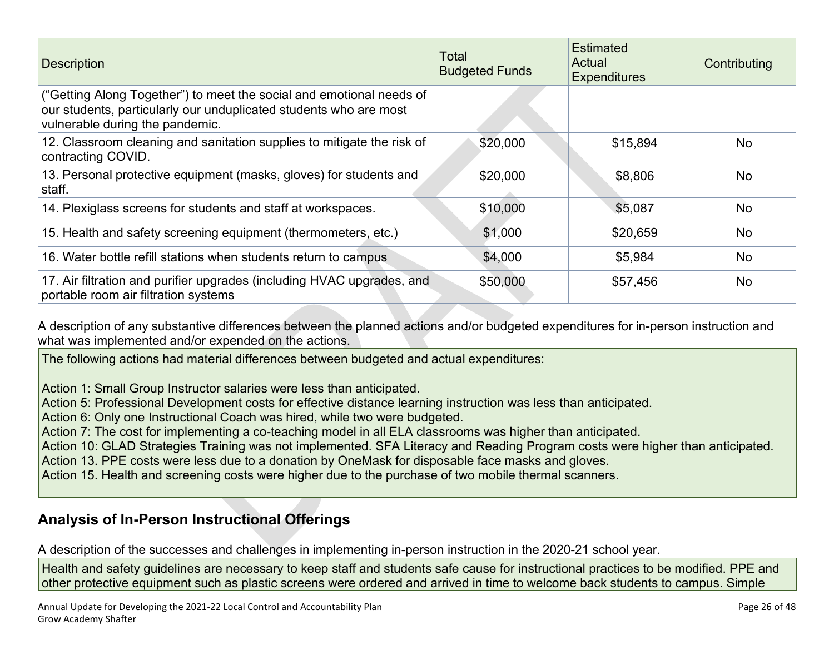| <b>Description</b>                                                                                                                                                           | Total<br><b>Budgeted Funds</b> | <b>Estimated</b><br>Actual<br><b>Expenditures</b> | Contributing |
|------------------------------------------------------------------------------------------------------------------------------------------------------------------------------|--------------------------------|---------------------------------------------------|--------------|
| ("Getting Along Together") to meet the social and emotional needs of<br>our students, particularly our unduplicated students who are most<br>vulnerable during the pandemic. |                                |                                                   |              |
| 12. Classroom cleaning and sanitation supplies to mitigate the risk of<br>contracting COVID.                                                                                 | \$20,000                       | \$15,894                                          | No           |
| 13. Personal protective equipment (masks, gloves) for students and<br>staff.                                                                                                 | \$20,000                       | \$8,806                                           | <b>No</b>    |
| 14. Plexiglass screens for students and staff at workspaces.                                                                                                                 | \$10,000                       | \$5,087                                           | <b>No</b>    |
| 15. Health and safety screening equipment (thermometers, etc.)                                                                                                               | \$1,000                        | \$20,659                                          | <b>No</b>    |
| 16. Water bottle refill stations when students return to campus                                                                                                              | \$4,000                        | \$5,984                                           | No           |
| 17. Air filtration and purifier upgrades (including HVAC upgrades, and<br>portable room air filtration systems                                                               | \$50,000                       | \$57,456                                          | <b>No</b>    |

A description of any substantive differences between the planned actions and/or budgeted expenditures for in-person instruction and what was implemented and/or expended on the actions.

The following actions had material differences between budgeted and actual expenditures:

Action 1: Small Group Instructor salaries were less than anticipated.

Action 5: Professional Development costs for effective distance learning instruction was less than anticipated.

Action 6: Only one Instructional Coach was hired, while two were budgeted.

Action 7: The cost for implementing a co-teaching model in all ELA classrooms was higher than anticipated.

Action 10: GLAD Strategies Training was not implemented. SFA Literacy and Reading Program costs were higher than anticipated.

Action 13. PPE costs were less due to a donation by OneMask for disposable face masks and gloves.

Action 15. Health and screening costs were higher due to the purchase of two mobile thermal scanners.

### **Analysis of In-Person [Instructional](http://www.doc-tracking.com/screenshots/21LCAP/Instructions/LCAPandLCPAnnualUpdateInstructions.htm#InPersonInstructionalOfferings) Offerings**

A description of the successes and challenges in implementing in-person instruction in the 2020-21 school year.

Health and safety guidelines are necessary to keep staff and students safe cause for instructional practices to be modified. PPE and other protective equipment such as plastic screens were ordered and arrived in time to welcome back students to campus. Simple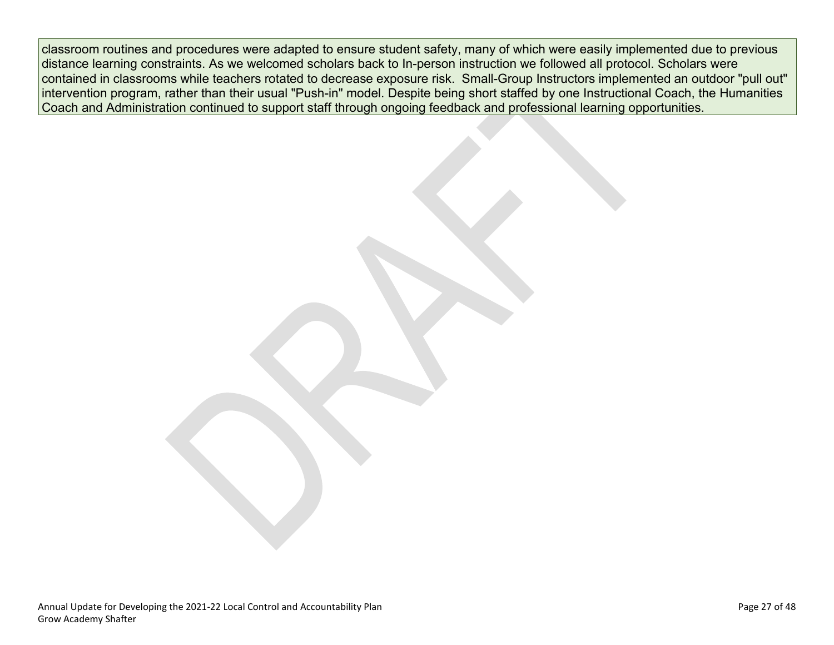classroom routines and procedures were adapted to ensure student safety, many of which were easily implemented due to previous distance learning constraints. As we welcomed scholars back to In-person instruction we followed all protocol. Scholars were contained in classrooms while teachers rotated to decrease exposure risk. Small-Group Instructors implemented an outdoor "pull out" intervention program, rather than their usual "Push-in" model. Despite being short staffed by one Instructional Coach, the Humanities Coach and Administration continued to support staff through ongoing feedback and professional learning opportunities.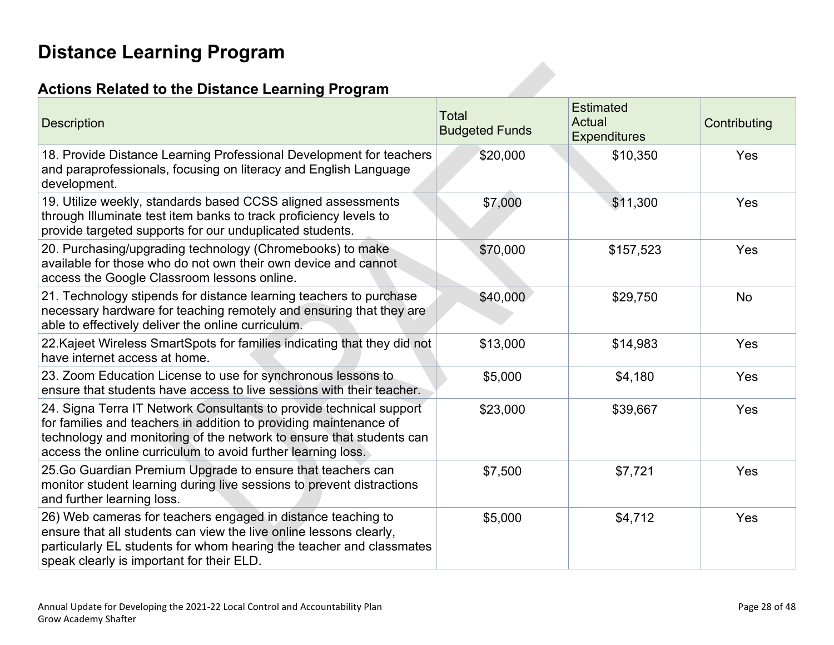# **Distance [Learning](http://www.doc-tracking.com/screenshots/21LCAP/Instructions/LCAPandLCPAnnualUpdateInstructions.htm#DistanceLearningProgram) Program**

### **Actions Related to the Distance [Learning](http://www.doc-tracking.com/screenshots/21LCAP/Instructions/LCAPandLCPAnnualUpdateInstructions.htm#DistanceLearningProgram) Program**

| <b>Description</b>                                                                                                                                                                                                                                                               | Total<br><b>Budgeted Funds</b> | <b>Estimated</b><br><b>Actual</b><br><b>Expenditures</b> | Contributing |
|----------------------------------------------------------------------------------------------------------------------------------------------------------------------------------------------------------------------------------------------------------------------------------|--------------------------------|----------------------------------------------------------|--------------|
| 18. Provide Distance Learning Professional Development for teachers<br>and paraprofessionals, focusing on literacy and English Language<br>development.                                                                                                                          | \$20,000                       | \$10,350                                                 | Yes          |
| 19. Utilize weekly, standards based CCSS aligned assessments<br>through Illuminate test item banks to track proficiency levels to<br>provide targeted supports for our unduplicated students.                                                                                    | \$7,000                        | \$11,300                                                 | Yes          |
| 20. Purchasing/upgrading technology (Chromebooks) to make<br>available for those who do not own their own device and cannot<br>access the Google Classroom lessons online.                                                                                                       | \$70,000                       | \$157,523                                                | Yes          |
| 21. Technology stipends for distance learning teachers to purchase<br>necessary hardware for teaching remotely and ensuring that they are<br>able to effectively deliver the online curriculum.                                                                                  | \$40,000                       | \$29,750                                                 | <b>No</b>    |
| 22. Kajeet Wireless SmartSpots for families indicating that they did not<br>have internet access at home.                                                                                                                                                                        | \$13,000                       | \$14,983                                                 | Yes          |
| 23. Zoom Education License to use for synchronous lessons to<br>ensure that students have access to live sessions with their teacher.                                                                                                                                            | \$5,000                        | \$4,180                                                  | Yes          |
| 24. Signa Terra IT Network Consultants to provide technical support<br>for families and teachers in addition to providing maintenance of<br>technology and monitoring of the network to ensure that students can<br>access the online curriculum to avoid further learning loss. | \$23,000                       | \$39,667                                                 | Yes          |
| 25. Go Guardian Premium Upgrade to ensure that teachers can<br>monitor student learning during live sessions to prevent distractions<br>and further learning loss.                                                                                                               | \$7,500                        | \$7,721                                                  | Yes          |
| 26) Web cameras for teachers engaged in distance teaching to<br>ensure that all students can view the live online lessons clearly,<br>particularly EL students for whom hearing the teacher and classmates<br>speak clearly is important for their ELD.                          | \$5,000                        | \$4,712                                                  | Yes          |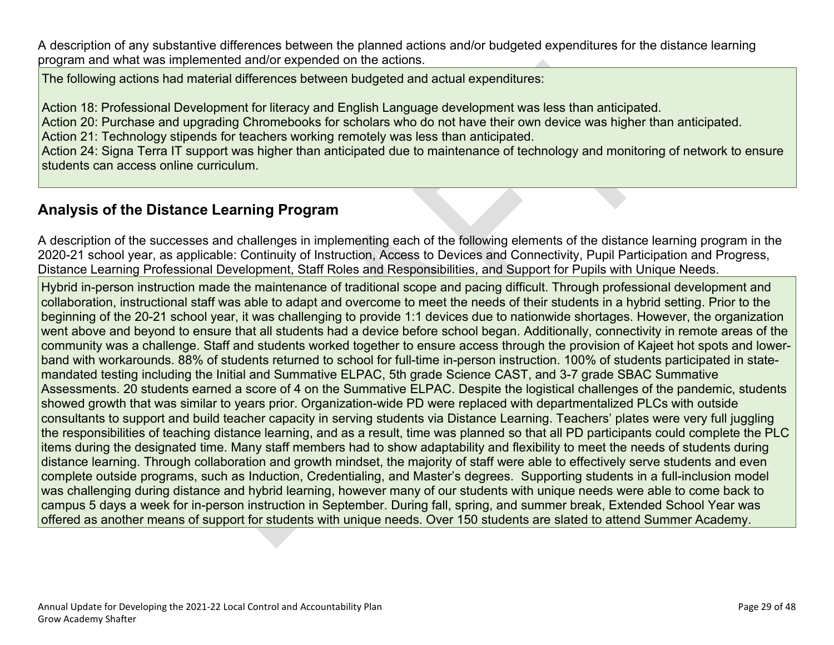A description of any substantive differences between the planned actions and/or budgeted expenditures for the distance learning program and what was implemented and/or expended on the actions.

The following actions had material differences between budgeted and actual expenditures:

Action 18: Professional Development for literacy and English Language development was less than anticipated.

Action 20: Purchase and upgrading Chromebooks for scholars who do not have their own device was higher than anticipated.

Action 21: Technology stipends for teachers working remotely was less than anticipated.

Action 24: Signa Terra IT support was higher than anticipated due to maintenance of technology and monitoring of network to ensure students can access online curriculum.

### **Analysis of the Distance [Learning](http://www.doc-tracking.com/screenshots/21LCAP/Instructions/LCAPandLCPAnnualUpdateInstructions.htm#DistanceLearningProgram) Program**

A description of the successes and challenges in implementing each of the following elements of the distance learning program in the 2020-21 school year, as applicable: Continuity of Instruction, Access to Devices and Connectivity, Pupil Participation and Progress, Distance Learning Professional Development, Staff Roles and Responsibilities, and Support for Pupils with Unique Needs.

Hybrid in-person instruction made the maintenance of traditional scope and pacing difficult. Through professional development and collaboration, instructional staff was able to adapt and overcome to meet the needs of their students in a hybrid setting. Prior to the beginning of the 20-21 school year, it was challenging to provide 1:1 devices due to nationwide shortages. However, the organization went above and beyond to ensure that all students had a device before school began. Additionally, connectivity in remote areas of the community was a challenge. Staff and students worked together to ensure access through the provision of Kajeet hot spots and lowerband with workarounds. 88% of students returned to school for full-time in-person instruction. 100% of students participated in statemandated testing including the Initial and Summative ELPAC, 5th grade Science CAST, and 3-7 grade SBAC Summative Assessments. 20 students earned a score of 4 on the Summative ELPAC. Despite the logistical challenges of the pandemic, students showed growth that was similar to years prior. Organization-wide PD were replaced with departmentalized PLCs with outside consultants to support and build teacher capacity in serving students via Distance Learning. Teachers' plates were very full juggling the responsibilities of teaching distance learning, and as a result, time was planned so that all PD participants could complete the PLC items during the designated time. Many staff members had to show adaptability and flexibility to meet the needs of students during distance learning. Through collaboration and growth mindset, the majority of staff were able to effectively serve students and even complete outside programs, such as Induction, Credentialing, and Master's degrees. Supporting students in a full-inclusion model was challenging during distance and hybrid learning, however many of our students with unique needs were able to come back to campus 5 days a week for in-person instruction in September. During fall, spring, and summer break, Extended School Year was offered as another means of support for students with unique needs. Over 150 students are slated to attend Summer Academy.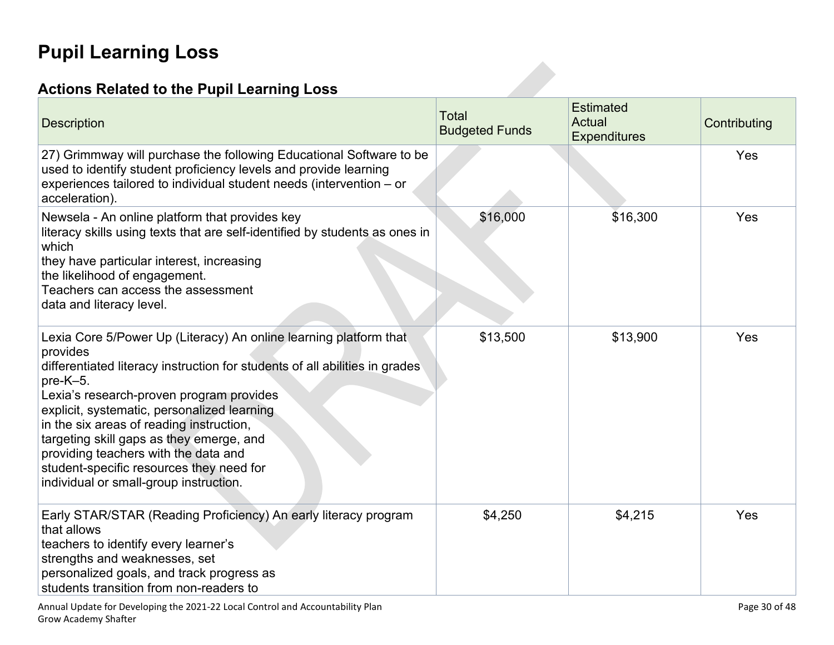# **Pupil [Learning](http://www.doc-tracking.com/screenshots/21LCAP/Instructions/LCAPandLCPAnnualUpdateInstructions.htm#PupilLearningLoss) Loss**

### **Actions Related to the Pupil [Learning](http://www.doc-tracking.com/screenshots/21LCAP/Instructions/LCAPandLCPAnnualUpdateInstructions.htm#PupilLearningLoss) Loss**

| <b>Description</b>                                                                                                                                                                                                                                                                                                                                                                                                                                                                        | <b>Total</b><br><b>Budgeted Funds</b> | <b>Estimated</b><br><b>Actual</b><br><b>Expenditures</b> | Contributing |
|-------------------------------------------------------------------------------------------------------------------------------------------------------------------------------------------------------------------------------------------------------------------------------------------------------------------------------------------------------------------------------------------------------------------------------------------------------------------------------------------|---------------------------------------|----------------------------------------------------------|--------------|
| 27) Grimmway will purchase the following Educational Software to be<br>used to identify student proficiency levels and provide learning<br>experiences tailored to individual student needs (intervention - or<br>acceleration).                                                                                                                                                                                                                                                          |                                       |                                                          | Yes          |
| Newsela - An online platform that provides key<br>literacy skills using texts that are self-identified by students as ones in<br>which<br>they have particular interest, increasing<br>the likelihood of engagement.<br>Teachers can access the assessment<br>data and literacy level.                                                                                                                                                                                                    | \$16,000                              | \$16,300                                                 | Yes          |
| Lexia Core 5/Power Up (Literacy) An online learning platform that<br>provides<br>differentiated literacy instruction for students of all abilities in grades<br>pre-K-5.<br>Lexia's research-proven program provides<br>explicit, systematic, personalized learning<br>in the six areas of reading instruction,<br>targeting skill gaps as they emerge, and<br>providing teachers with the data and<br>student-specific resources they need for<br>individual or small-group instruction. | \$13,500                              | \$13,900                                                 | Yes          |
| Early STAR/STAR (Reading Proficiency) An early literacy program<br>that allows<br>teachers to identify every learner's<br>strengths and weaknesses, set<br>personalized goals, and track progress as<br>students transition from non-readers to                                                                                                                                                                                                                                           | \$4,250                               | \$4,215                                                  | Yes          |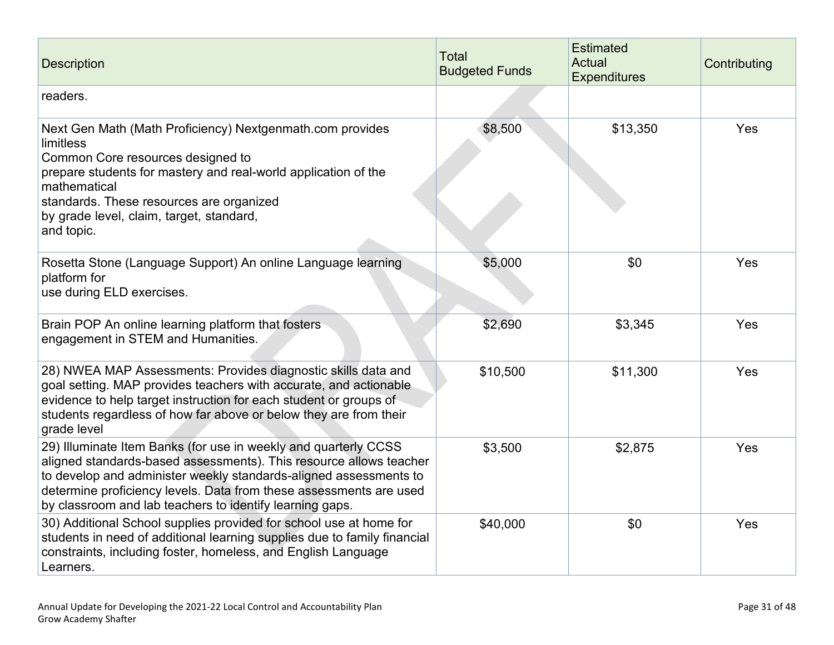| <b>Description</b>                                                                                                                                                                                                                                                                                                                           | <b>Total</b><br><b>Budgeted Funds</b> | <b>Estimated</b><br>Actual<br><b>Expenditures</b> | Contributing |
|----------------------------------------------------------------------------------------------------------------------------------------------------------------------------------------------------------------------------------------------------------------------------------------------------------------------------------------------|---------------------------------------|---------------------------------------------------|--------------|
| readers.                                                                                                                                                                                                                                                                                                                                     |                                       |                                                   |              |
| Next Gen Math (Math Proficiency) Nextgenmath.com provides<br>limitless<br>Common Core resources designed to<br>prepare students for mastery and real-world application of the<br>mathematical<br>standards. These resources are organized<br>by grade level, claim, target, standard,<br>and topic.                                          | \$8,500                               | \$13,350                                          | Yes          |
| Rosetta Stone (Language Support) An online Language learning<br>platform for<br>use during ELD exercises.                                                                                                                                                                                                                                    | \$5,000                               | \$0                                               | Yes          |
| Brain POP An online learning platform that fosters<br>engagement in STEM and Humanities.                                                                                                                                                                                                                                                     | \$2,690                               | \$3,345                                           | Yes          |
| 28) NWEA MAP Assessments: Provides diagnostic skills data and<br>goal setting. MAP provides teachers with accurate, and actionable<br>evidence to help target instruction for each student or groups of<br>students regardless of how far above or below they are from their<br>grade level                                                  | \$10,500                              | \$11,300                                          | Yes          |
| 29) Illuminate Item Banks (for use in weekly and quarterly CCSS<br>aligned standards-based assessments). This resource allows teacher<br>to develop and administer weekly standards-aligned assessments to<br>determine proficiency levels. Data from these assessments are used<br>by classroom and lab teachers to identify learning gaps. | \$3,500                               | \$2,875                                           | Yes          |
| 30) Additional School supplies provided for school use at home for<br>students in need of additional learning supplies due to family financial<br>constraints, including foster, homeless, and English Language<br>Learners.                                                                                                                 | \$40,000                              | \$0                                               | Yes          |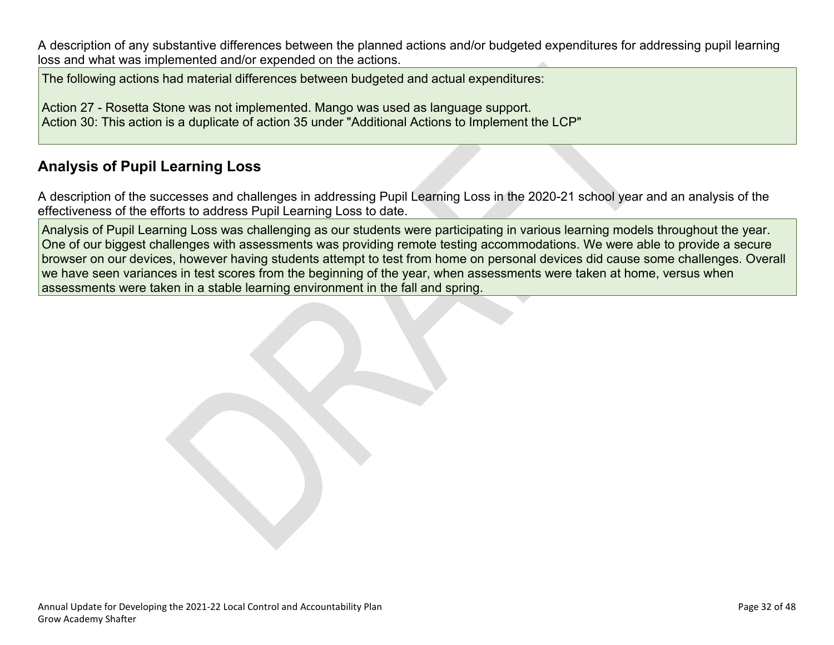A description of any substantive differences between the planned actions and/or budgeted expenditures for addressing pupil learning loss and what was implemented and/or expended on the actions.

The following actions had material differences between budgeted and actual expenditures:

Action 27 - Rosetta Stone was not implemented. Mango was used as language support. Action 30: This action is a duplicate of action 35 under "Additional Actions to Implement the LCP"

#### **Analysis of Pupil [Learning](http://www.doc-tracking.com/screenshots/21LCAP/Instructions/LCAPandLCPAnnualUpdateInstructions.htm#PupilLearningLoss) Loss**

A description of the successes and challenges in addressing Pupil Learning Loss in the 2020-21 school year and an analysis of the effectiveness of the efforts to address Pupil Learning Loss to date.

Analysis of Pupil Learning Loss was challenging as our students were participating in various learning models throughout the year. One of our biggest challenges with assessments was providing remote testing accommodations. We were able to provide a secure browser on our devices, however having students attempt to test from home on personal devices did cause some challenges. Overall we have seen variances in test scores from the beginning of the year, when assessments were taken at home, versus when assessments were taken in a stable learning environment in the fall and spring.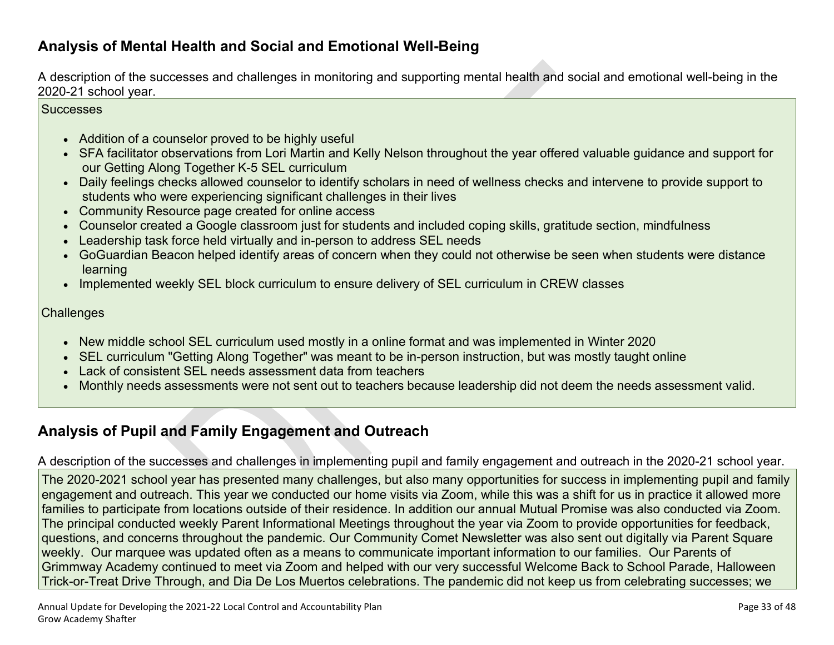#### **Analysis of Mental Health and Social and Emotional [Well-Being](http://www.doc-tracking.com/screenshots/21LCAP/Instructions/LCAPandLCPAnnualUpdateInstructions.htm#MentalHealthandSocialandEmotional)**

A description of the successes and challenges in monitoring and supporting mental health and social and emotional well-being in the 2020-21 school year.

#### **Successes**

- Addition of a counselor proved to be highly useful
- SFA facilitator observations from Lori Martin and Kelly Nelson throughout the year offered valuable guidance and support for our Getting Along Together K-5 SEL curriculum
- Daily feelings checks allowed counselor to identify scholars in need of wellness checks and intervene to provide support to students who were experiencing significant challenges in their lives
- Community Resource page created for online access
- Counselor created a Google classroom just for students and included coping skills, gratitude section, mindfulness
- Leadership task force held virtually and in-person to address SEL needs
- GoGuardian Beacon helped identify areas of concern when they could not otherwise be seen when students were distance learning
- Implemented weekly SEL block curriculum to ensure delivery of SEL curriculum in CREW classes

#### **Challenges**

- New middle school SEL curriculum used mostly in a online format and was implemented in Winter 2020
- SEL curriculum "Getting Along Together" was meant to be in-person instruction, but was mostly taught online
- Lack of consistent SEL needs assessment data from teachers
- Monthly needs assessments were not sent out to teachers because leadership did not deem the needs assessment valid.

### **Analysis of Pupil and Family [Engagement](http://www.doc-tracking.com/screenshots/21LCAP/Instructions/LCAPandLCPAnnualUpdateInstructions.htm#PupilandFamilyEngagementandOutreach) and Outreach**

#### A description of the successes and challenges in implementing pupil and family engagement and outreach in the 2020-21 school year.

The 2020-2021 school year has presented many challenges, but also many opportunities for success in implementing pupil and family engagement and outreach. This year we conducted our home visits via Zoom, while this was a shift for us in practice it allowed more families to participate from locations outside of their residence. In addition our annual Mutual Promise was also conducted via Zoom. The principal conducted weekly Parent Informational Meetings throughout the year via Zoom to provide opportunities for feedback, questions, and concerns throughout the pandemic. Our Community Comet Newsletter was also sent out digitally via Parent Square weekly. Our marquee was updated often as a means to communicate important information to our families. Our Parents of Grimmway Academy continued to meet via Zoom and helped with our very successful Welcome Back to School Parade, Halloween Trick-or-Treat Drive Through, and Dia De Los Muertos celebrations. The pandemic did not keep us from celebrating successes; we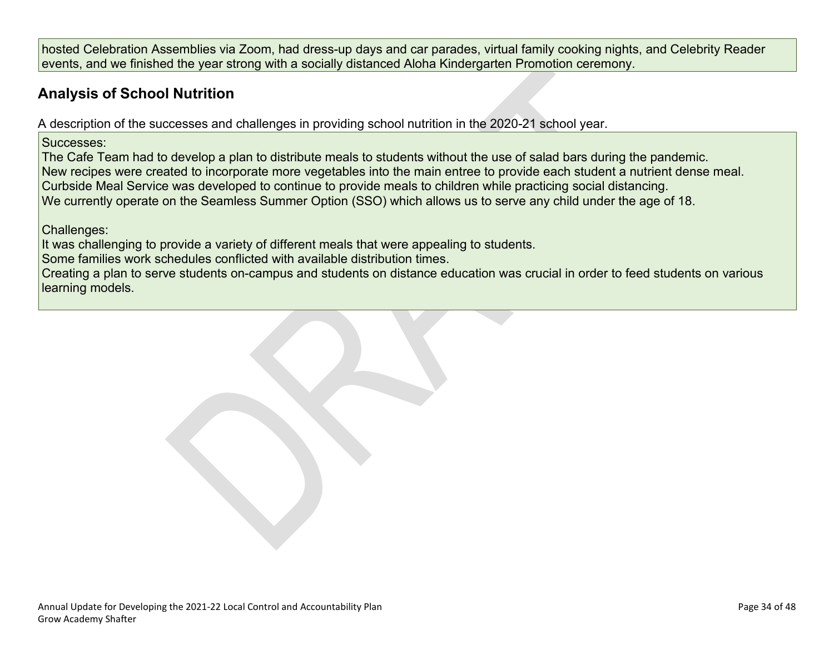hosted Celebration Assemblies via Zoom, had dress-up days and car parades, virtual family cooking nights, and Celebrity Reader events, and we finished the year strong with a socially distanced Aloha Kindergarten Promotion ceremony.

### **Analysis of School [Nutrition](http://www.doc-tracking.com/screenshots/21LCAP/Instructions/LCAPandLCPAnnualUpdateInstructions.htm#SchoolNutrition)**

A description of the successes and challenges in providing school nutrition in the 2020-21 school year.

Successes:

The Cafe Team had to develop a plan to distribute meals to students without the use of salad bars during the pandemic. New recipes were created to incorporate more vegetables into the main entree to provide each student a nutrient dense meal. Curbside Meal Service was developed to continue to provide meals to children while practicing social distancing. We currently operate on the Seamless Summer Option (SSO) which allows us to serve any child under the age of 18.

Challenges:

It was challenging to provide a variety of different meals that were appealing to students.

Some families work schedules conflicted with available distribution times.

Creating a plan to serve students on-campus and students on distance education was crucial in order to feed students on various learning models.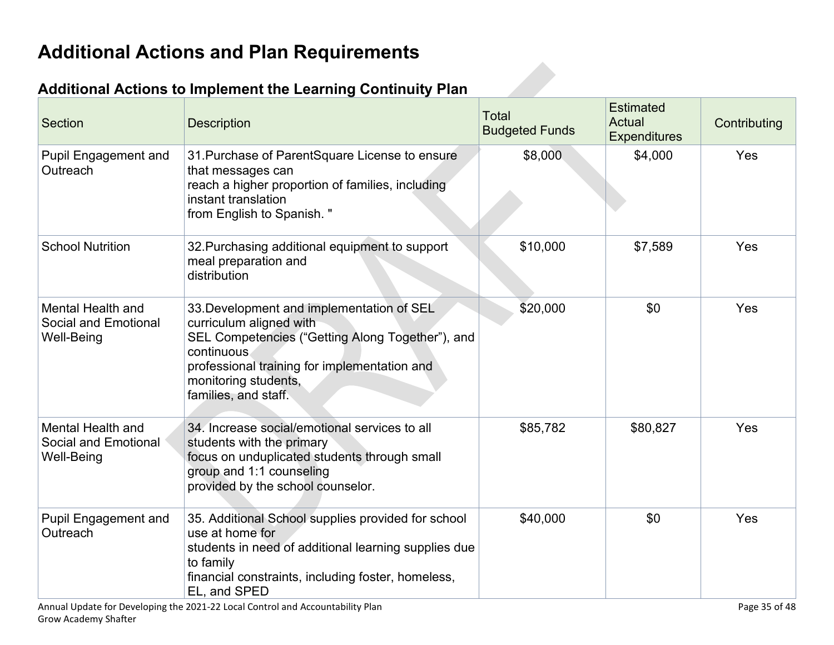# **Additional Actions and Plan [Requirements](http://www.doc-tracking.com/screenshots/21LCAP/Instructions/LCAPandLCPAnnualUpdateInstructions.htm#AdditionalActions)**

### **Additional Actions to [Implement](http://www.doc-tracking.com/screenshots/21LCAP/Instructions/LCAPandLCPAnnualUpdateInstructions.htm#AdditionalActions) the Learning Continuity Plan**

| <b>Section</b>                                                        | <b>Description</b>                                                                                                                                                                                                                      | <b>Total</b><br><b>Budgeted Funds</b> | <b>Estimated</b><br><b>Actual</b><br><b>Expenditures</b> | Contributing |
|-----------------------------------------------------------------------|-----------------------------------------------------------------------------------------------------------------------------------------------------------------------------------------------------------------------------------------|---------------------------------------|----------------------------------------------------------|--------------|
| <b>Pupil Engagement and</b><br>Outreach                               | 31. Purchase of ParentSquare License to ensure<br>that messages can<br>reach a higher proportion of families, including<br>instant translation<br>from English to Spanish. "                                                            | \$8,000                               | \$4,000                                                  | Yes          |
| <b>School Nutrition</b>                                               | 32. Purchasing additional equipment to support<br>meal preparation and<br>distribution                                                                                                                                                  | \$10,000                              | \$7,589                                                  | Yes          |
| <b>Mental Health and</b><br>Social and Emotional<br><b>Well-Being</b> | 33. Development and implementation of SEL<br>curriculum aligned with<br>SEL Competencies ("Getting Along Together"), and<br>continuous.<br>professional training for implementation and<br>monitoring students,<br>families, and staff. | \$20,000                              | \$0                                                      | Yes          |
| <b>Mental Health and</b><br>Social and Emotional<br><b>Well-Being</b> | 34. Increase social/emotional services to all<br>students with the primary<br>focus on unduplicated students through small<br>group and 1:1 counseling<br>provided by the school counselor.                                             | \$85,782                              | \$80,827                                                 | Yes          |
| <b>Pupil Engagement and</b><br>Outreach                               | 35. Additional School supplies provided for school<br>use at home for<br>students in need of additional learning supplies due<br>to family<br>financial constraints, including foster, homeless,<br>EL, and SPED                        | \$40,000                              | \$0                                                      | Yes          |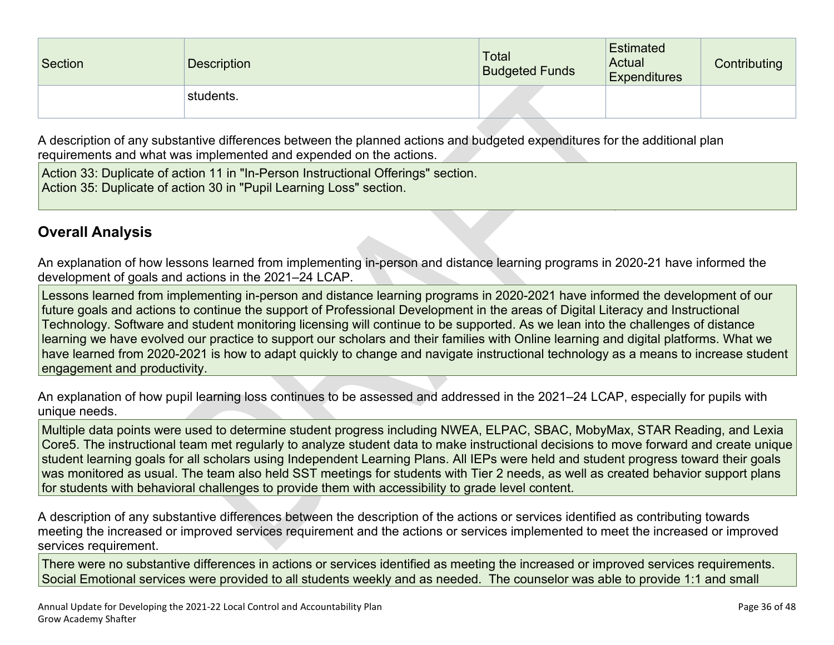| Section | <b>Description</b> | <b>Total</b><br><b>Budgeted Funds</b> | <b>Estimated</b><br>Actual<br><b>Expenditures</b> | Contributing |
|---------|--------------------|---------------------------------------|---------------------------------------------------|--------------|
|         | students.          |                                       |                                                   |              |

A description of any substantive differences between the planned actions and budgeted expenditures for the additional plan requirements and what was implemented and expended on the actions.

Action 33: Duplicate of action 11 in "In-Person Instructional Offerings" section. Action 35: Duplicate of action 30 in "Pupil Learning Loss" section.

#### **Overall [Analysis](http://www.doc-tracking.com/screenshots/21LCAP/Instructions/LCAPandLCPAnnualUpdateInstructions.htm#OverallAnalysis1)**

An explanation of how lessons learned from implementing in-person and distance learning programs in 2020-21 have informed the development of goals and actions in the 2021–24 LCAP.

Lessons learned from implementing in-person and distance learning programs in 2020-2021 have informed the development of our future goals and actions to continue the support of Professional Development in the areas of Digital Literacy and Instructional Technology. Software and student monitoring licensing will continue to be supported. As we lean into the challenges of distance learning we have evolved our practice to support our scholars and their families with Online learning and digital platforms. What we have learned from 2020-2021 is how to adapt quickly to change and navigate instructional technology as a means to increase student engagement and productivity.

An explanation of how pupil learning loss continues to be assessed and addressed in the 2021–24 LCAP, especially for pupils with unique needs.

Multiple data points were used to determine student progress including NWEA, ELPAC, SBAC, MobyMax, STAR Reading, and Lexia Core5. The instructional team met regularly to analyze student data to make instructional decisions to move forward and create unique student learning goals for all scholars using Independent Learning Plans. All IEPs were held and student progress toward their goals was monitored as usual. The team also held SST meetings for students with Tier 2 needs, as well as created behavior support plans for students with behavioral challenges to provide them with accessibility to grade level content.

A description of any substantive differences between the description of the actions or services identified as contributing towards meeting the increased or improved services requirement and the actions or services implemented to meet the increased or improved services requirement.

There were no substantive differences in actions or services identified as meeting the increased or improved services requirements. Social Emotional services were provided to all students weekly and as needed. The counselor was able to provide 1:1 and small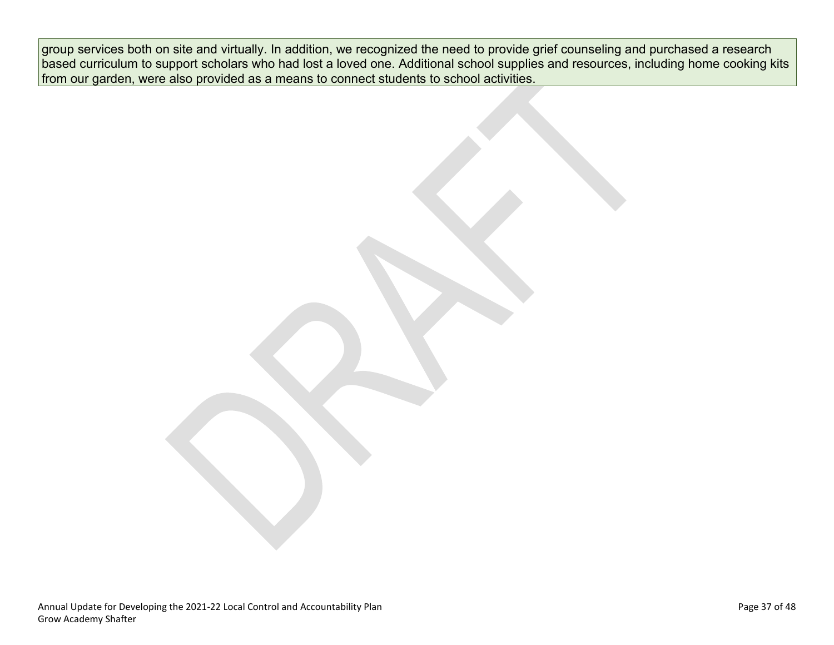group services both on site and virtually. In addition, we recognized the need to provide grief counseling and purchased a research based curriculum to support scholars who had lost a loved one. Additional school supplies and resources, including home cooking kits from our garden, were also provided as a means to connect students to school activities.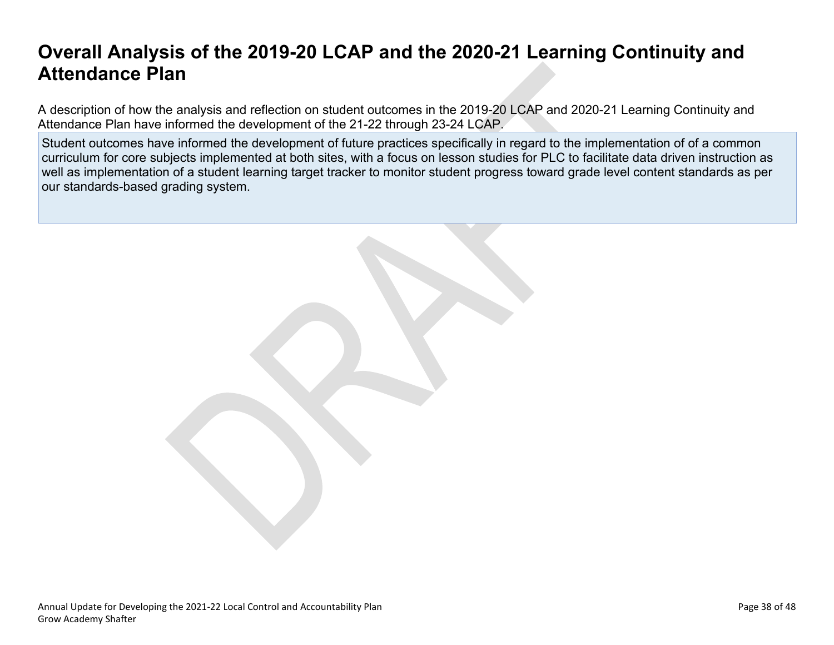## **Overall Analysis [of the 2019-20 LCAP and the 2020-21 Learning Continuity and](http://www.doc-tracking.com/screenshots/21LCAP/Instructions/LCAPandLCPAnnualUpdateInstructions.htm#OverallAnalysis2) [Attendance](http://www.doc-tracking.com/screenshots/21LCAP/Instructions/LCAPandLCPAnnualUpdateInstructions.htm#OverallAnalysis2) Plan**

A description of how the analysis and reflection on student outcomes in the 2019-20 LCAP and 2020-21 Learning Continuity and Attendance Plan have informed the development of the 21-22 through 23-24 LCAP.

Student outcomes have informed the development of future practices specifically in regard to the implementation of of a common curriculum for core subjects implemented at both sites, with a focus on lesson studies for PLC to facilitate data driven instruction as well as implementation of a student learning target tracker to monitor student progress toward grade level content standards as per our standards-based grading system.

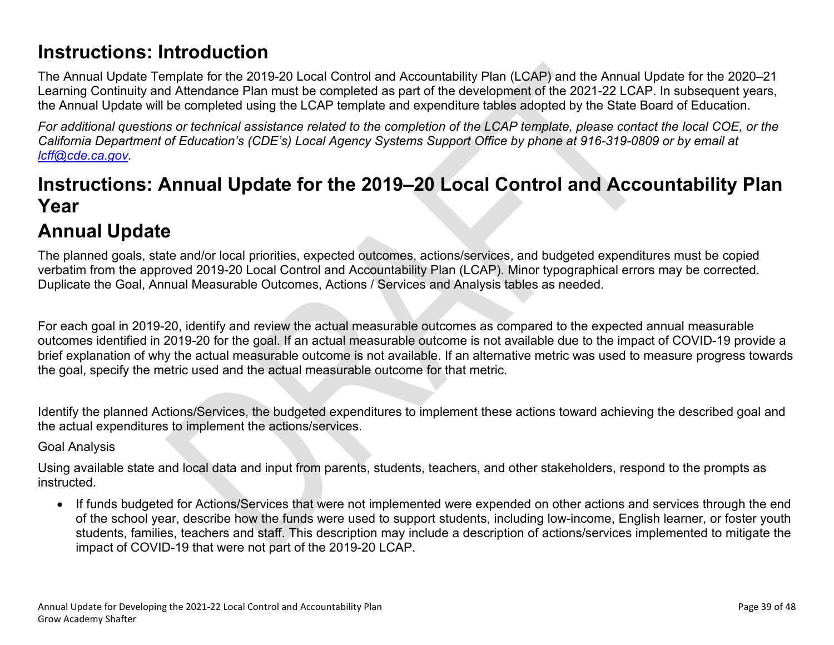## **Instructions: Introduction**

The Annual Update Template for the 2019-20 Local Control and Accountability Plan (LCAP) and the Annual Update for the 2020–21 Learning Continuity and Attendance Plan must be completed as part of the development of the 2021-22 LCAP. In subsequent years, the Annual Update will be completed using the LCAP template and expenditure tables adopted by the State Board of Education.

*For additional questions or technical assistance related to the completion of the LCAP template, please contact the local COE, or the California Department of Education's (CDE's) Local Agency Systems Support Office by phone at 916-319-0809 or by email at [lcff@cde.ca.gov.](mailto:lcff@cde.ca.gov)*

# **Instructions: Annual Update for the 2019–20 Local Control and Accountability Plan Year**

# **Annual Update**

The planned goals, state and/or local priorities, expected outcomes, actions/services, and budgeted expenditures must be copied verbatim from the approved 2019-20 Local Control and Accountability Plan (LCAP). Minor typographical errors may be corrected. Duplicate the Goal, Annual Measurable Outcomes, Actions / Services and Analysis tables as needed.

For each goal in 2019-20, identify and review the actual measurable outcomes as compared to the expected annual measurable outcomes identified in 2019-20 for the goal. If an actual measurable outcome is not available due to the impact of COVID-19 provide a brief explanation of why the actual measurable outcome is not available. If an alternative metric was used to measure progress towards the goal, specify the metric used and the actual measurable outcome for that metric.

Identify the planned Actions/Services, the budgeted expenditures to implement these actions toward achieving the described goal and the actual expenditures to implement the actions/services.

#### Goal Analysis

Using available state and local data and input from parents, students, teachers, and other stakeholders, respond to the prompts as instructed.

• If funds budgeted for Actions/Services that were not implemented were expended on other actions and services through the end of the school year, describe how the funds were used to support students, including low-income, English learner, or foster youth students, families, teachers and staff. This description may include a description of actions/services implemented to mitigate the impact of COVID-19 that were not part of the 2019-20 LCAP.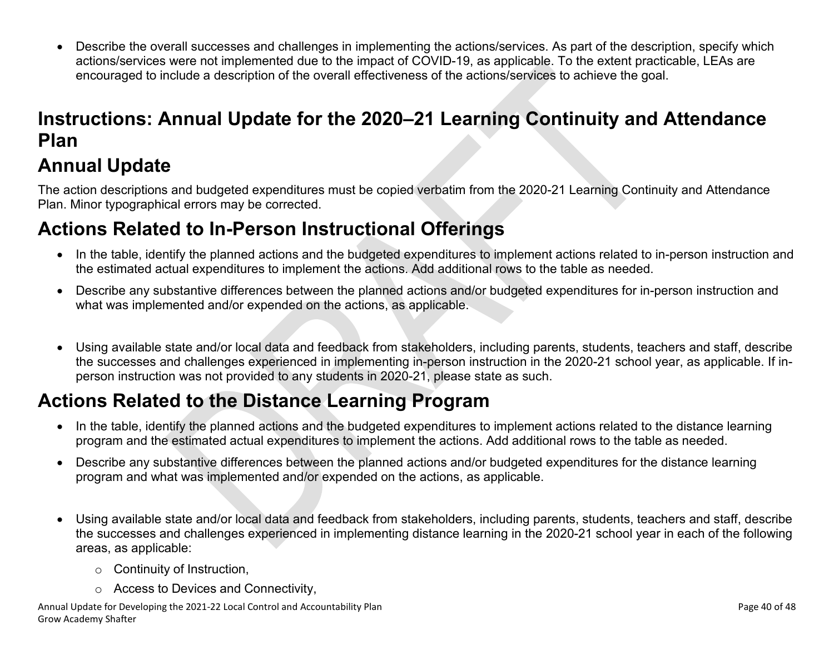• Describe the overall successes and challenges in implementing the actions/services. As part of the description, specify which actions/services were not implemented due to the impact of COVID-19, as applicable. To the extent practicable, LEAs are encouraged to include a description of the overall effectiveness of the actions/services to achieve the goal.

# **Instructions: Annual Update for the 2020–21 Learning Continuity and Attendance Plan**

# **Annual Update**

The action descriptions and budgeted expenditures must be copied verbatim from the 2020-21 Learning Continuity and Attendance Plan. Minor typographical errors may be corrected.

# **Actions Related to In-Person Instructional Offerings**

- In the table, identify the planned actions and the budgeted expenditures to implement actions related to in-person instruction and the estimated actual expenditures to implement the actions. Add additional rows to the table as needed.
- Describe any substantive differences between the planned actions and/or budgeted expenditures for in-person instruction and what was implemented and/or expended on the actions, as applicable.
- Using available state and/or local data and feedback from stakeholders, including parents, students, teachers and staff, describe the successes and challenges experienced in implementing in-person instruction in the 2020-21 school year, as applicable. If inperson instruction was not provided to any students in 2020-21, please state as such.

## **Actions Related to the Distance Learning Program**

- In the table, identify the planned actions and the budgeted expenditures to implement actions related to the distance learning program and the estimated actual expenditures to implement the actions. Add additional rows to the table as needed.
- Describe any substantive differences between the planned actions and/or budgeted expenditures for the distance learning program and what was implemented and/or expended on the actions, as applicable.
- Using available state and/or local data and feedback from stakeholders, including parents, students, teachers and staff, describe the successes and challenges experienced in implementing distance learning in the 2020-21 school year in each of the following areas, as applicable:
	- o Continuity of Instruction,
	- o Access to Devices and Connectivity,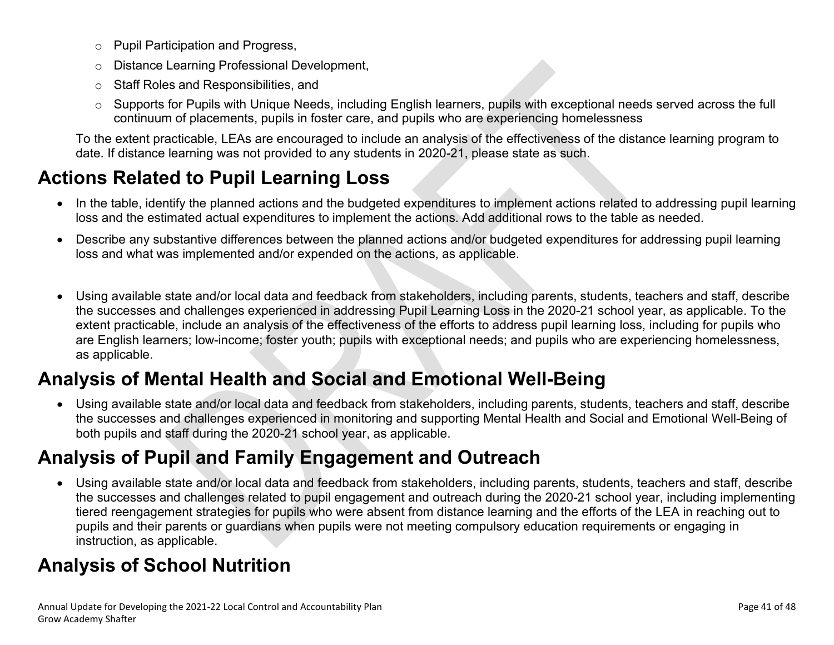- o Pupil Participation and Progress,
- o Distance Learning Professional Development,
- o Staff Roles and Responsibilities, and
- o Supports for Pupils with Unique Needs, including English learners, pupils with exceptional needs served across the full continuum of placements, pupils in foster care, and pupils who are experiencing homelessness

To the extent practicable, LEAs are encouraged to include an analysis of the effectiveness of the distance learning program to date. If distance learning was not provided to any students in 2020-21, please state as such.

# **Actions Related to Pupil Learning Loss**

- In the table, identify the planned actions and the budgeted expenditures to implement actions related to addressing pupil learning loss and the estimated actual expenditures to implement the actions. Add additional rows to the table as needed.
- Describe any substantive differences between the planned actions and/or budgeted expenditures for addressing pupil learning loss and what was implemented and/or expended on the actions, as applicable.
- Using available state and/or local data and feedback from stakeholders, including parents, students, teachers and staff, describe the successes and challenges experienced in addressing Pupil Learning Loss in the 2020-21 school year, as applicable. To the extent practicable, include an analysis of the effectiveness of the efforts to address pupil learning loss, including for pupils who are English learners; low-income; foster youth; pupils with exceptional needs; and pupils who are experiencing homelessness, as applicable.

# **Analysis of Mental Health and Social and Emotional Well-Being**

• Using available state and/or local data and feedback from stakeholders, including parents, students, teachers and staff, describe the successes and challenges experienced in monitoring and supporting Mental Health and Social and Emotional Well-Being of both pupils and staff during the 2020-21 school year, as applicable.

# **Analysis of Pupil and Family Engagement and Outreach**

• Using available state and/or local data and feedback from stakeholders, including parents, students, teachers and staff, describe the successes and challenges related to pupil engagement and outreach during the 2020-21 school year, including implementing tiered reengagement strategies for pupils who were absent from distance learning and the efforts of the LEA in reaching out to pupils and their parents or guardians when pupils were not meeting compulsory education requirements or engaging in instruction, as applicable.

# **Analysis of School Nutrition**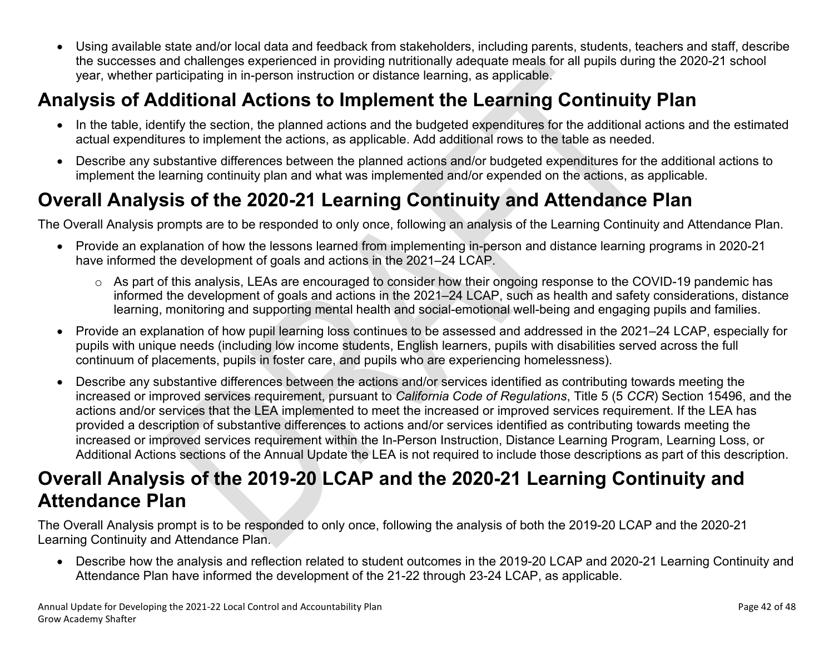• Using available state and/or local data and feedback from stakeholders, including parents, students, teachers and staff, describe the successes and challenges experienced in providing nutritionally adequate meals for all pupils during the 2020-21 school year, whether participating in in-person instruction or distance learning, as applicable.

# **Analysis of Additional Actions to Implement the Learning Continuity Plan**

- In the table, identify the section, the planned actions and the budgeted expenditures for the additional actions and the estimated actual expenditures to implement the actions, as applicable. Add additional rows to the table as needed.
- Describe any substantive differences between the planned actions and/or budgeted expenditures for the additional actions to implement the learning continuity plan and what was implemented and/or expended on the actions, as applicable.

# **Overall Analysis of the 2020-21 Learning Continuity and Attendance Plan**

The Overall Analysis prompts are to be responded to only once, following an analysis of the Learning Continuity and Attendance Plan.

- Provide an explanation of how the lessons learned from implementing in-person and distance learning programs in 2020-21 have informed the development of goals and actions in the 2021–24 LCAP.
	- o As part of this analysis, LEAs are encouraged to consider how their ongoing response to the COVID-19 pandemic has informed the development of goals and actions in the 2021–24 LCAP, such as health and safety considerations, distance learning, monitoring and supporting mental health and social-emotional well-being and engaging pupils and families.
- Provide an explanation of how pupil learning loss continues to be assessed and addressed in the 2021–24 LCAP, especially for pupils with unique needs (including low income students, English learners, pupils with disabilities served across the full continuum of placements, pupils in foster care, and pupils who are experiencing homelessness).
- Describe any substantive differences between the actions and/or services identified as contributing towards meeting the increased or improved services requirement, pursuant to *California Code of Regulations*, Title 5 (5 *CCR*) Section 15496, and the actions and/or services that the LEA implemented to meet the increased or improved services requirement. If the LEA has provided a description of substantive differences to actions and/or services identified as contributing towards meeting the increased or improved services requirement within the In-Person Instruction, Distance Learning Program, Learning Loss, or Additional Actions sections of the Annual Update the LEA is not required to include those descriptions as part of this description.

## **Overall Analysis of the 2019-20 LCAP and the 2020-21 Learning Continuity and Attendance Plan**

The Overall Analysis prompt is to be responded to only once, following the analysis of both the 2019-20 LCAP and the 2020-21 Learning Continuity and Attendance Plan.

• Describe how the analysis and reflection related to student outcomes in the 2019-20 LCAP and 2020-21 Learning Continuity and Attendance Plan have informed the development of the 21-22 through 23-24 LCAP, as applicable.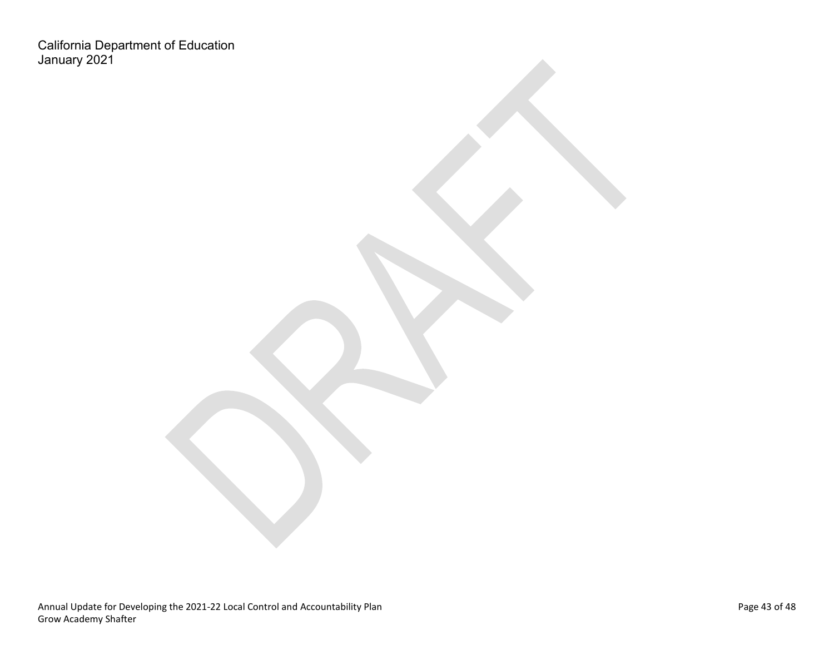California Department of Education January 2021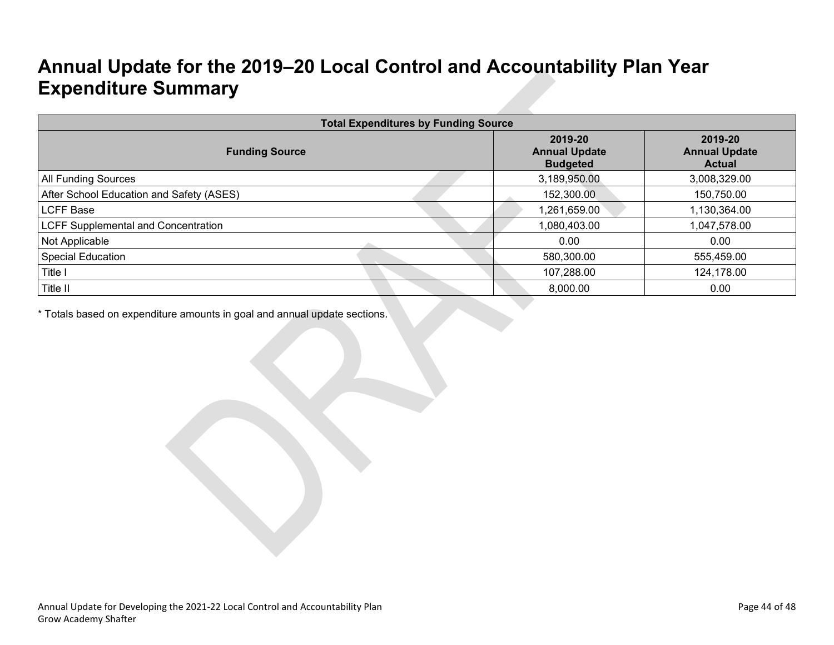## **Annual Update for the 2019–20 Local Control and Accountability Plan Year Expenditure Summary**

| <b>Total Expenditures by Funding Source</b> |                                                    |                                                  |  |
|---------------------------------------------|----------------------------------------------------|--------------------------------------------------|--|
| <b>Funding Source</b>                       | 2019-20<br><b>Annual Update</b><br><b>Budgeted</b> | 2019-20<br><b>Annual Update</b><br><b>Actual</b> |  |
| <b>All Funding Sources</b>                  | 3,189,950.00                                       | 3,008,329.00                                     |  |
| After School Education and Safety (ASES)    | 152,300.00                                         | 150,750.00                                       |  |
| LCFF Base                                   | 1,261,659.00                                       | 1,130,364.00                                     |  |
| <b>LCFF Supplemental and Concentration</b>  | 1,080,403.00                                       | 1,047,578.00                                     |  |
| Not Applicable                              | 0.00                                               | 0.00                                             |  |
| <b>Special Education</b>                    | 580,300.00                                         | 555,459.00                                       |  |
| Title I                                     | 107,288.00                                         | 124,178.00                                       |  |
| Title II                                    | 8,000.00                                           | 0.00                                             |  |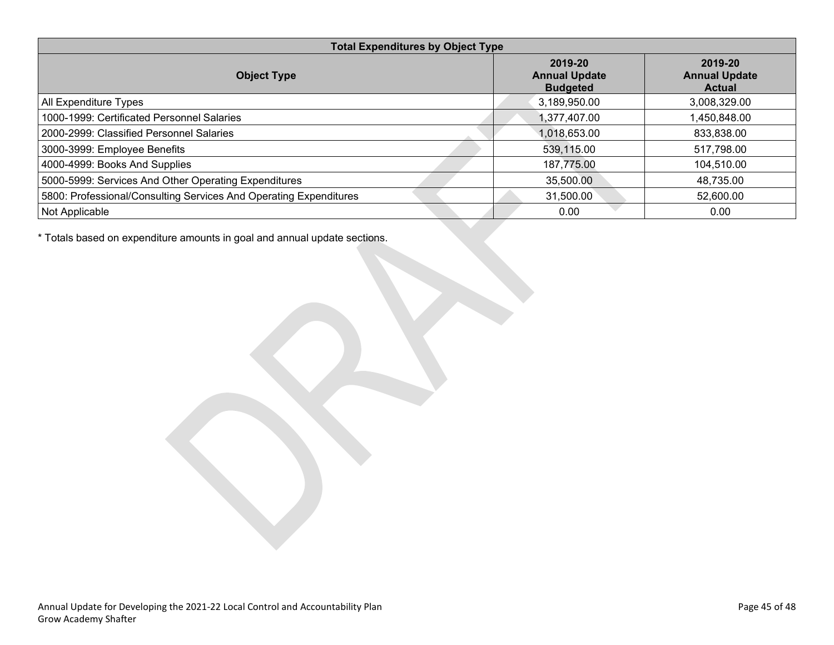| <b>Total Expenditures by Object Type</b>                          |                                                    |                                                  |  |
|-------------------------------------------------------------------|----------------------------------------------------|--------------------------------------------------|--|
| <b>Object Type</b>                                                | 2019-20<br><b>Annual Update</b><br><b>Budgeted</b> | 2019-20<br><b>Annual Update</b><br><b>Actual</b> |  |
| All Expenditure Types                                             | 3,189,950.00                                       | 3,008,329.00                                     |  |
| 1000-1999: Certificated Personnel Salaries                        | 1,377,407.00                                       | 1,450,848.00                                     |  |
| 2000-2999: Classified Personnel Salaries                          | 1,018,653.00                                       | 833,838.00                                       |  |
| 3000-3999: Employee Benefits                                      | 539,115.00                                         | 517,798.00                                       |  |
| 4000-4999: Books And Supplies                                     | 187,775.00                                         | 104,510.00                                       |  |
| 5000-5999: Services And Other Operating Expenditures              | 35,500.00                                          | 48,735.00                                        |  |
| 5800: Professional/Consulting Services And Operating Expenditures | 31,500.00                                          | 52,600.00                                        |  |
| Not Applicable                                                    | 0.00                                               | 0.00                                             |  |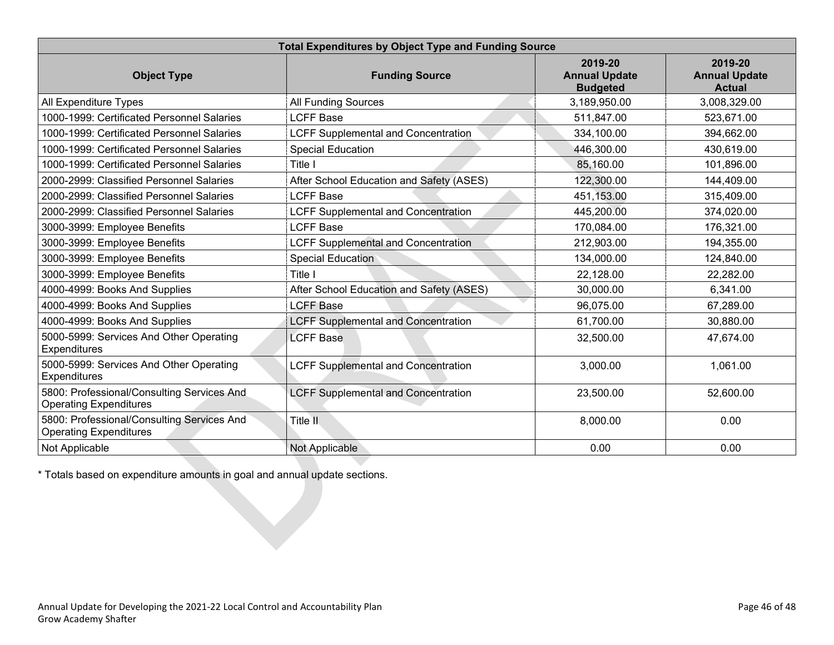| <b>Total Expenditures by Object Type and Funding Source</b>                 |                                            |                                                    |                                                  |
|-----------------------------------------------------------------------------|--------------------------------------------|----------------------------------------------------|--------------------------------------------------|
| <b>Object Type</b>                                                          | <b>Funding Source</b>                      | 2019-20<br><b>Annual Update</b><br><b>Budgeted</b> | 2019-20<br><b>Annual Update</b><br><b>Actual</b> |
| All Expenditure Types                                                       | <b>All Funding Sources</b>                 | 3,189,950.00                                       | 3,008,329.00                                     |
| 1000-1999: Certificated Personnel Salaries                                  | <b>LCFF Base</b>                           | 511,847.00                                         | 523,671.00                                       |
| 1000-1999: Certificated Personnel Salaries                                  | <b>LCFF Supplemental and Concentration</b> | 334,100.00                                         | 394,662.00                                       |
| 1000-1999: Certificated Personnel Salaries                                  | <b>Special Education</b>                   | 446,300.00                                         | 430,619.00                                       |
| 1000-1999: Certificated Personnel Salaries                                  | Title I                                    | 85,160.00                                          | 101,896.00                                       |
| 2000-2999: Classified Personnel Salaries                                    | After School Education and Safety (ASES)   | 122,300.00                                         | 144,409.00                                       |
| 2000-2999: Classified Personnel Salaries                                    | <b>LCFF Base</b>                           | 451,153.00                                         | 315,409.00                                       |
| 2000-2999: Classified Personnel Salaries                                    | <b>LCFF Supplemental and Concentration</b> | 445,200.00                                         | 374,020.00                                       |
| 3000-3999: Employee Benefits                                                | <b>LCFF Base</b>                           | 170,084.00                                         | 176,321.00                                       |
| 3000-3999: Employee Benefits                                                | <b>LCFF Supplemental and Concentration</b> | 212,903.00                                         | 194,355.00                                       |
| 3000-3999: Employee Benefits                                                | <b>Special Education</b>                   | 134,000.00                                         | 124,840.00                                       |
| 3000-3999: Employee Benefits                                                | Title I                                    | 22,128.00                                          | 22,282.00                                        |
| 4000-4999: Books And Supplies                                               | After School Education and Safety (ASES)   | 30,000.00                                          | 6,341.00                                         |
| 4000-4999: Books And Supplies                                               | <b>LCFF Base</b>                           | 96,075.00                                          | 67,289.00                                        |
| 4000-4999: Books And Supplies                                               | <b>LCFF Supplemental and Concentration</b> | 61,700.00                                          | 30,880.00                                        |
| 5000-5999: Services And Other Operating<br>Expenditures                     | <b>LCFF Base</b>                           | 32,500.00                                          | 47,674.00                                        |
| 5000-5999: Services And Other Operating<br>Expenditures                     | LCFF Supplemental and Concentration        | 3,000.00                                           | 1,061.00                                         |
| 5800: Professional/Consulting Services And<br><b>Operating Expenditures</b> | <b>LCFF Supplemental and Concentration</b> | 23,500.00                                          | 52,600.00                                        |
| 5800: Professional/Consulting Services And<br><b>Operating Expenditures</b> | Title II                                   | 8,000.00                                           | 0.00                                             |
| Not Applicable                                                              | Not Applicable                             | 0.00                                               | 0.00                                             |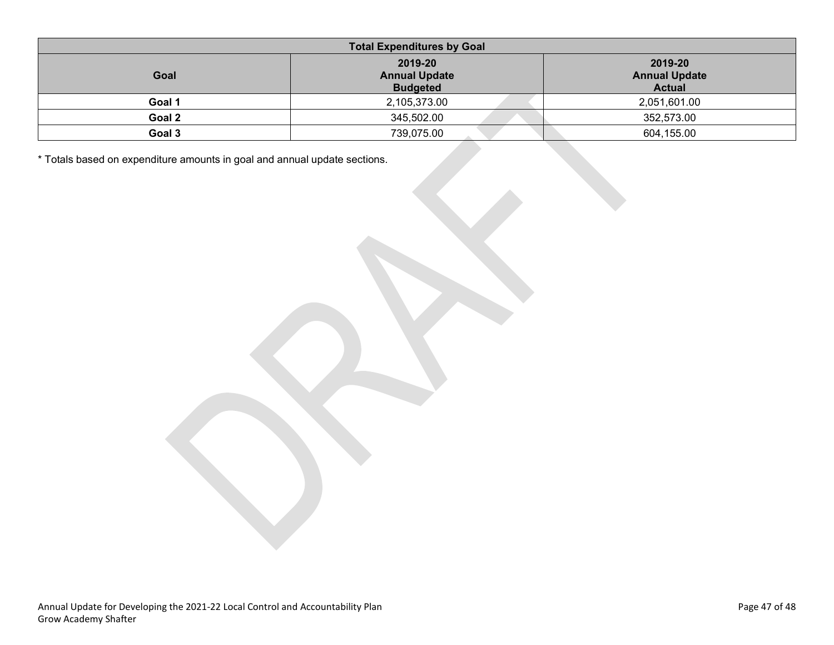| <b>Total Expenditures by Goal</b> |                                                    |                                                  |
|-----------------------------------|----------------------------------------------------|--------------------------------------------------|
| Goal                              | 2019-20<br><b>Annual Update</b><br><b>Budgeted</b> | 2019-20<br><b>Annual Update</b><br><b>Actual</b> |
| Goal 1                            | 2,105,373.00                                       | 2,051,601.00                                     |
| Goal 2                            | 345,502.00                                         | 352,573.00                                       |
| Goal 3                            | 739,075.00                                         | 604,155.00                                       |